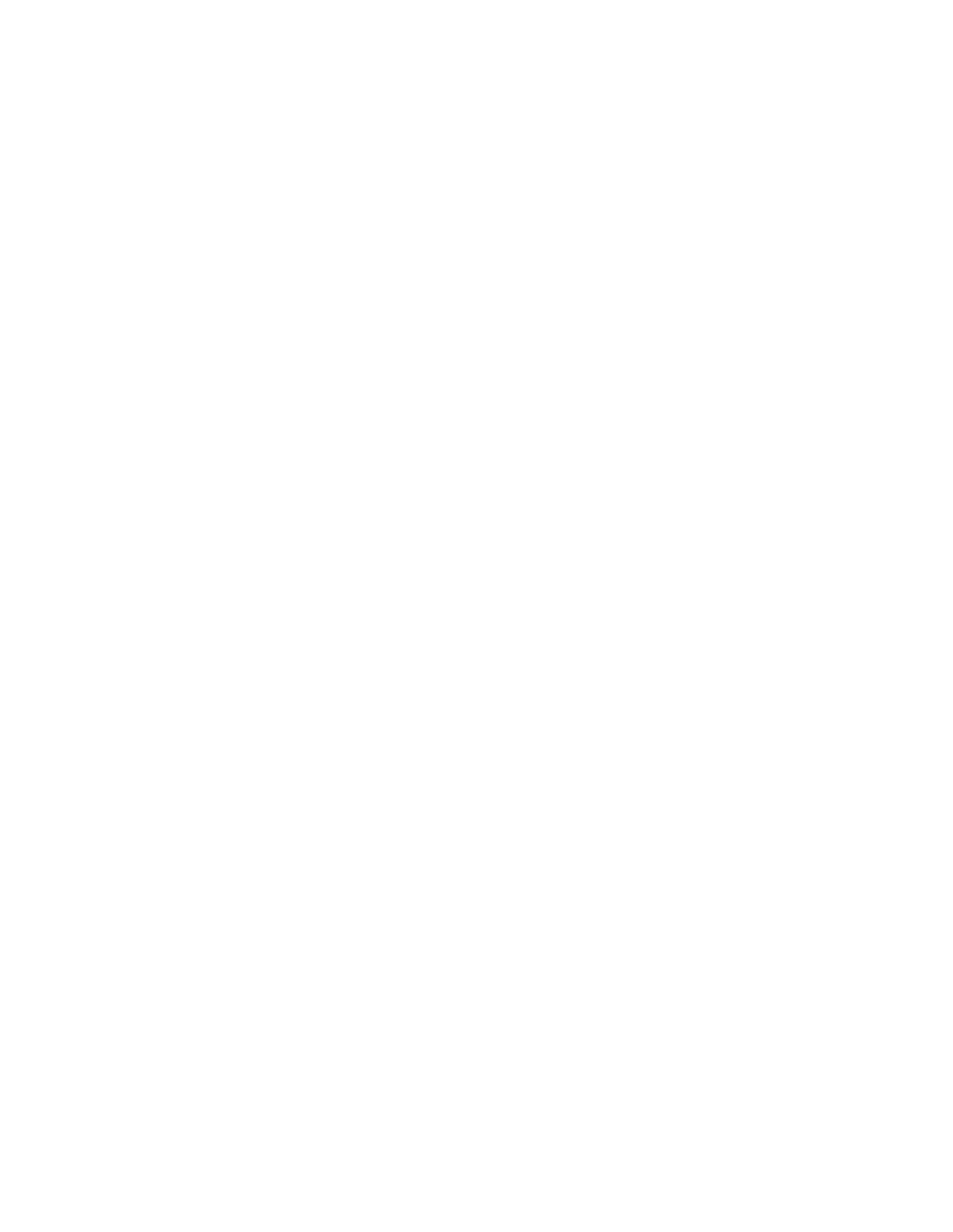



October 1, 2002

To: The Honorable Rick Perry, Governor of Texas The Honorable Bill Ratliff, Lieutenant Governor of Texas The Honorable James E. "Pete" Laneye Ster of the House of Representatives The Honorable Robert L. Duncan, Acting Chair, Senate Natural Resources Committee The Honorable David Counts, Chair, House Natural Resources Committee

The 2002 State Water Plan is a significant first step towerd the Texas Legislature's vision, as expressed with the enactment of Senate Bill 1 in 1997, to produce a locally and rative developed plan to meet the future water supply needs of all Texans, even during conditions of severe drought.

The 2002 State Water Plan imporates 16 Regional Water Plans that cutrively identify approximately \$18 billion in key water management strategies and projects to meet Texas' water supply needs through 2050. A common thread in the development of recommendations in the regional water plamniomes is a desire to implement the plans in a way that ensures that the future needs of all Texans are met. With autholementation, Texans clearly will not have the ability to meet their future water needs.

Although local governments, regional authorities, and other political subdivisions will play an important role in paying for the estimated \$18 billion in strategies and projects, many communities will be unable to afford it alone. Senate Bill 2, enacted by the Texas Legislature in 2001 flected the 16 Regional Water Planning Groups to examine the financing needed for their regions to implement the water management strategies pojects identified in the 2002 State Water Plan and to formally report their findings to the Texas Water Development Board.

The 16 Regional Infrastructure Financing Reports were submittuthe Texas Water Development Board by June 1, 2002 as mandated by Senate Bill 2. The Texas Water Developmend Bastreviewed these reports and consulted with potentially impacted groups and other interested persons regarding the information reported and the recommendations made by the Regional Water Planning Groups. While careful scrutiny was deted the information in the 16 Regional Infrastructure Financing Reports, the reported data is dependent upon local political subdivisions' representations of their own ability to pa y for needed projects. The short time frame provided to develop the Infrastructure Financing Report did not enable the Texas Water Development Board the coptunity to evaluate this information great detail for each political subdivision. Therefore, the funding needs discussed in this reportrainarily a reflection of the desires of the local political subdivisions. However, the Texas Water Development Board does provide an alternative evaluation that results in funding needs that are significantly more consetive. In the future, the Texas Water velopment Board will establish necessary guidelines for the Regional Infrastructure Financing Reports are that data is available to allow more detailed evaluations.

The Board respectfully transmits this report, consisting of the egional Infrastructure Financing Reports and the Board's "analysis of and recommendations regarding" the Regional Infrastructure Financing Reports, to the Texas Legislature.

Wales H. Madden, Jr., Chairman J. Kevin Ward, Executive Administrator

**Our Mission** Provide leadership, technical services and nancial assistance to support planning, conservation, and responsible development of water for Texas. P.O. Box 13231 • 1700 N. Congress Avenue • Austin, Texas 78711-3231 Telephone (512) 463-7847 • Fax (512) 475-2053 1-800-RELAYTX (for the hearing impaired) URL Address: http://www.twdb.state.tx.us E-Mail Address: info@twdb.state.tx.us

> TNRIS - The Texas Information Gateway • www.tnris.state.tx.us A Member of the Texas Geographic Information Council (TGIC)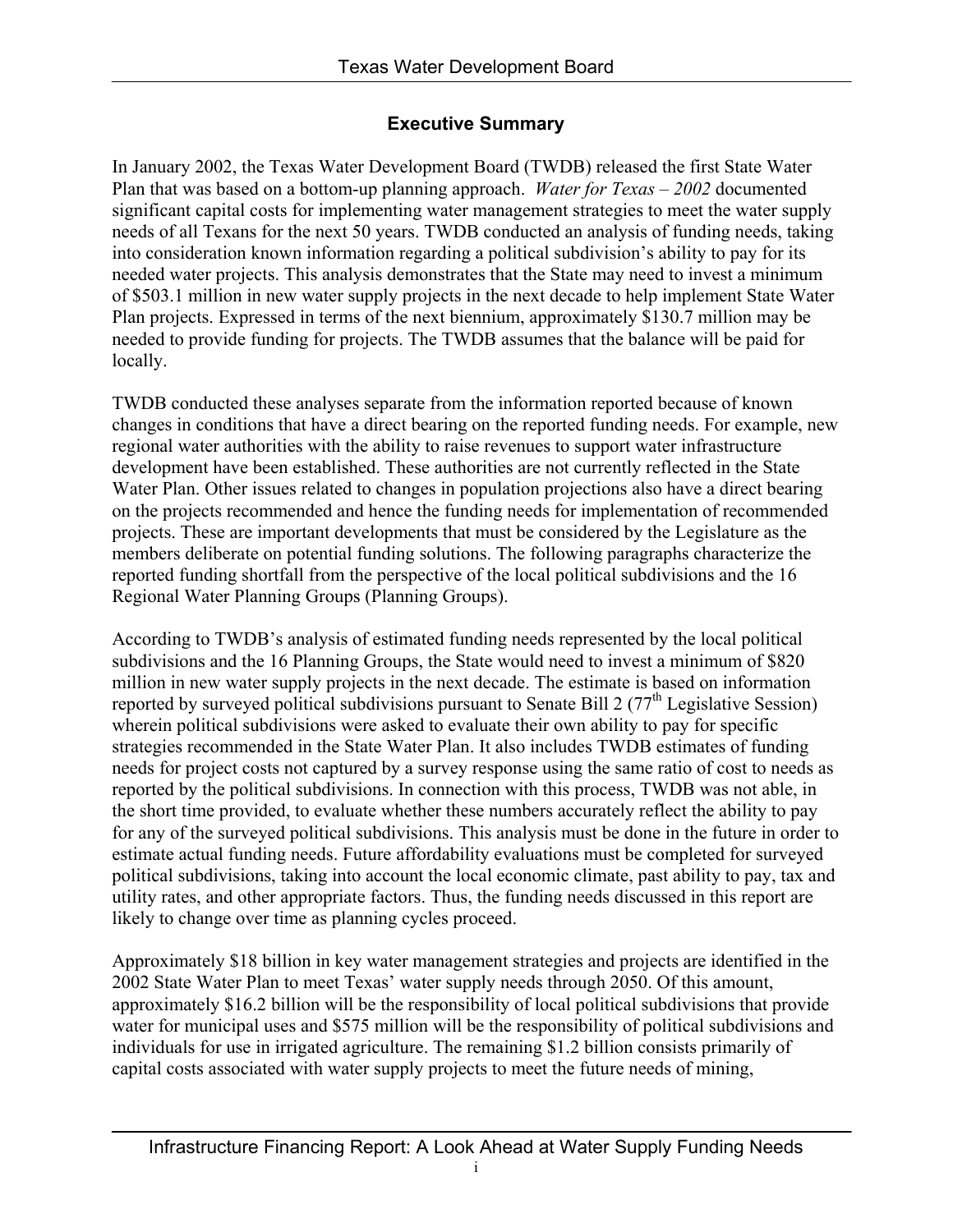## **Executive Summary**

In January 2002, the Texas Water Development Board (TWDB) released the first State Water Plan that was based on a bottom-up planning approach. *Water for Texas – 2002* documented significant capital costs for implementing water management strategies to meet the water supply needs of all Texans for the next 50 years. TWDB conducted an analysis of funding needs, taking into consideration known information regarding a political subdivision's ability to pay for its needed water projects. This analysis demonstrates that the State may need to invest a minimum of \$503.1 million in new water supply projects in the next decade to help implement State Water Plan projects. Expressed in terms of the next biennium, approximately \$130.7 million may be needed to provide funding for projects. The TWDB assumes that the balance will be paid for locally.

TWDB conducted these analyses separate from the information reported because of known changes in conditions that have a direct bearing on the reported funding needs. For example, new regional water authorities with the ability to raise revenues to support water infrastructure development have been established. These authorities are not currently reflected in the State Water Plan. Other issues related to changes in population projections also have a direct bearing on the projects recommended and hence the funding needs for implementation of recommended projects. These are important developments that must be considered by the Legislature as the members deliberate on potential funding solutions. The following paragraphs characterize the reported funding shortfall from the perspective of the local political subdivisions and the 16 Regional Water Planning Groups (Planning Groups).

According to TWDB's analysis of estimated funding needs represented by the local political subdivisions and the 16 Planning Groups, the State would need to invest a minimum of \$820 million in new water supply projects in the next decade. The estimate is based on information reported by surveyed political subdivisions pursuant to Senate Bill 2  $(77<sup>th</sup>$  Legislative Session) wherein political subdivisions were asked to evaluate their own ability to pay for specific strategies recommended in the State Water Plan. It also includes TWDB estimates of funding needs for project costs not captured by a survey response using the same ratio of cost to needs as reported by the political subdivisions. In connection with this process, TWDB was not able, in the short time provided, to evaluate whether these numbers accurately reflect the ability to pay for any of the surveyed political subdivisions. This analysis must be done in the future in order to estimate actual funding needs. Future affordability evaluations must be completed for surveyed political subdivisions, taking into account the local economic climate, past ability to pay, tax and utility rates, and other appropriate factors. Thus, the funding needs discussed in this report are likely to change over time as planning cycles proceed.

Approximately \$18 billion in key water management strategies and projects are identified in the 2002 State Water Plan to meet Texas' water supply needs through 2050. Of this amount, approximately \$16.2 billion will be the responsibility of local political subdivisions that provide water for municipal uses and \$575 million will be the responsibility of political subdivisions and individuals for use in irrigated agriculture. The remaining \$1.2 billion consists primarily of capital costs associated with water supply projects to meet the future needs of mining,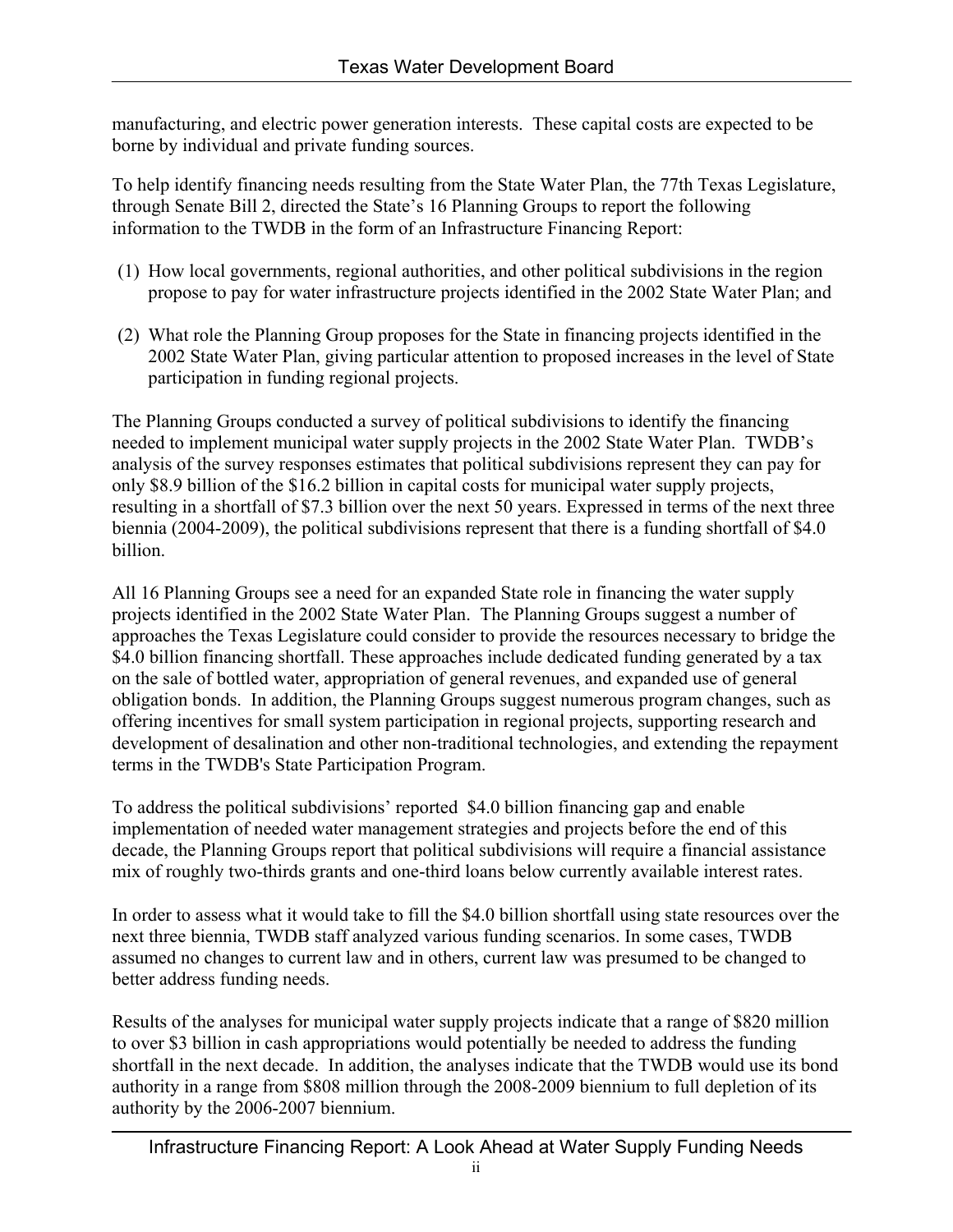manufacturing, and electric power generation interests. These capital costs are expected to be borne by individual and private funding sources.

To help identify financing needs resulting from the State Water Plan, the 77th Texas Legislature, through Senate Bill 2, directed the State's 16 Planning Groups to report the following information to the TWDB in the form of an Infrastructure Financing Report:

- (1) How local governments, regional authorities, and other political subdivisions in the region propose to pay for water infrastructure projects identified in the 2002 State Water Plan; and
- (2) What role the Planning Group proposes for the State in financing projects identified in the 2002 State Water Plan, giving particular attention to proposed increases in the level of State participation in funding regional projects.

The Planning Groups conducted a survey of political subdivisions to identify the financing needed to implement municipal water supply projects in the 2002 State Water Plan. TWDB's analysis of the survey responses estimates that political subdivisions represent they can pay for only \$8.9 billion of the \$16.2 billion in capital costs for municipal water supply projects, resulting in a shortfall of \$7.3 billion over the next 50 years. Expressed in terms of the next three biennia (2004-2009), the political subdivisions represent that there is a funding shortfall of \$4.0 billion.

All 16 Planning Groups see a need for an expanded State role in financing the water supply projects identified in the 2002 State Water Plan. The Planning Groups suggest a number of approaches the Texas Legislature could consider to provide the resources necessary to bridge the \$4.0 billion financing shortfall. These approaches include dedicated funding generated by a tax on the sale of bottled water, appropriation of general revenues, and expanded use of general obligation bonds. In addition, the Planning Groups suggest numerous program changes, such as offering incentives for small system participation in regional projects, supporting research and development of desalination and other non-traditional technologies, and extending the repayment terms in the TWDB's State Participation Program.

To address the political subdivisions' reported \$4.0 billion financing gap and enable implementation of needed water management strategies and projects before the end of this decade, the Planning Groups report that political subdivisions will require a financial assistance mix of roughly two-thirds grants and one-third loans below currently available interest rates.

In order to assess what it would take to fill the \$4.0 billion shortfall using state resources over the next three biennia, TWDB staff analyzed various funding scenarios. In some cases, TWDB assumed no changes to current law and in others, current law was presumed to be changed to better address funding needs.

Results of the analyses for municipal water supply projects indicate that a range of \$820 million to over \$3 billion in cash appropriations would potentially be needed to address the funding shortfall in the next decade. In addition, the analyses indicate that the TWDB would use its bond authority in a range from \$808 million through the 2008-2009 biennium to full depletion of its authority by the 2006-2007 biennium.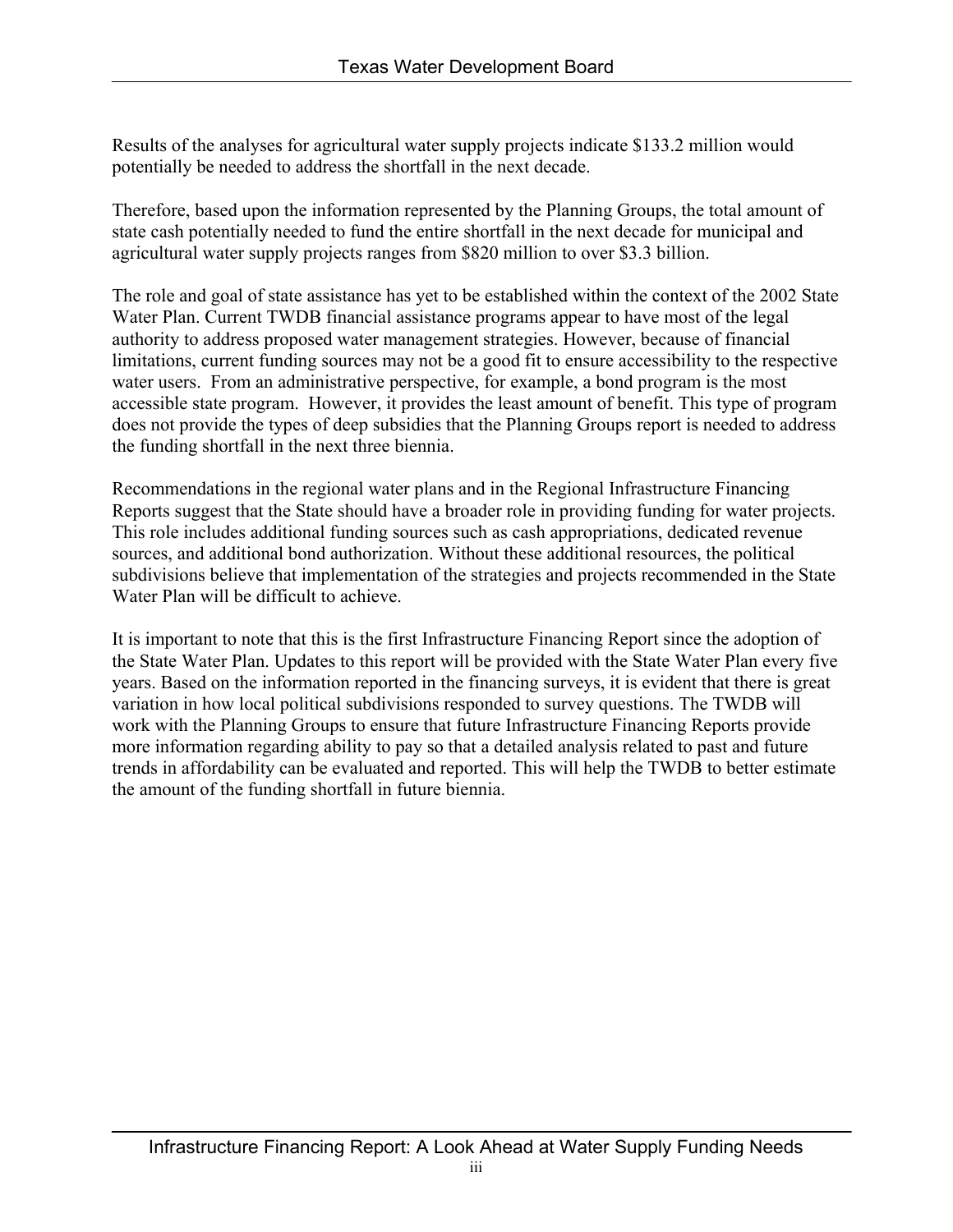Results of the analyses for agricultural water supply projects indicate \$133.2 million would potentially be needed to address the shortfall in the next decade.

Therefore, based upon the information represented by the Planning Groups, the total amount of state cash potentially needed to fund the entire shortfall in the next decade for municipal and agricultural water supply projects ranges from \$820 million to over \$3.3 billion.

The role and goal of state assistance has yet to be established within the context of the 2002 State Water Plan. Current TWDB financial assistance programs appear to have most of the legal authority to address proposed water management strategies. However, because of financial limitations, current funding sources may not be a good fit to ensure accessibility to the respective water users. From an administrative perspective, for example, a bond program is the most accessible state program. However, it provides the least amount of benefit. This type of program does not provide the types of deep subsidies that the Planning Groups report is needed to address the funding shortfall in the next three biennia.

Recommendations in the regional water plans and in the Regional Infrastructure Financing Reports suggest that the State should have a broader role in providing funding for water projects. This role includes additional funding sources such as cash appropriations, dedicated revenue sources, and additional bond authorization. Without these additional resources, the political subdivisions believe that implementation of the strategies and projects recommended in the State Water Plan will be difficult to achieve.

It is important to note that this is the first Infrastructure Financing Report since the adoption of the State Water Plan. Updates to this report will be provided with the State Water Plan every five years. Based on the information reported in the financing surveys, it is evident that there is great variation in how local political subdivisions responded to survey questions. The TWDB will work with the Planning Groups to ensure that future Infrastructure Financing Reports provide more information regarding ability to pay so that a detailed analysis related to past and future trends in affordability can be evaluated and reported. This will help the TWDB to better estimate the amount of the funding shortfall in future biennia.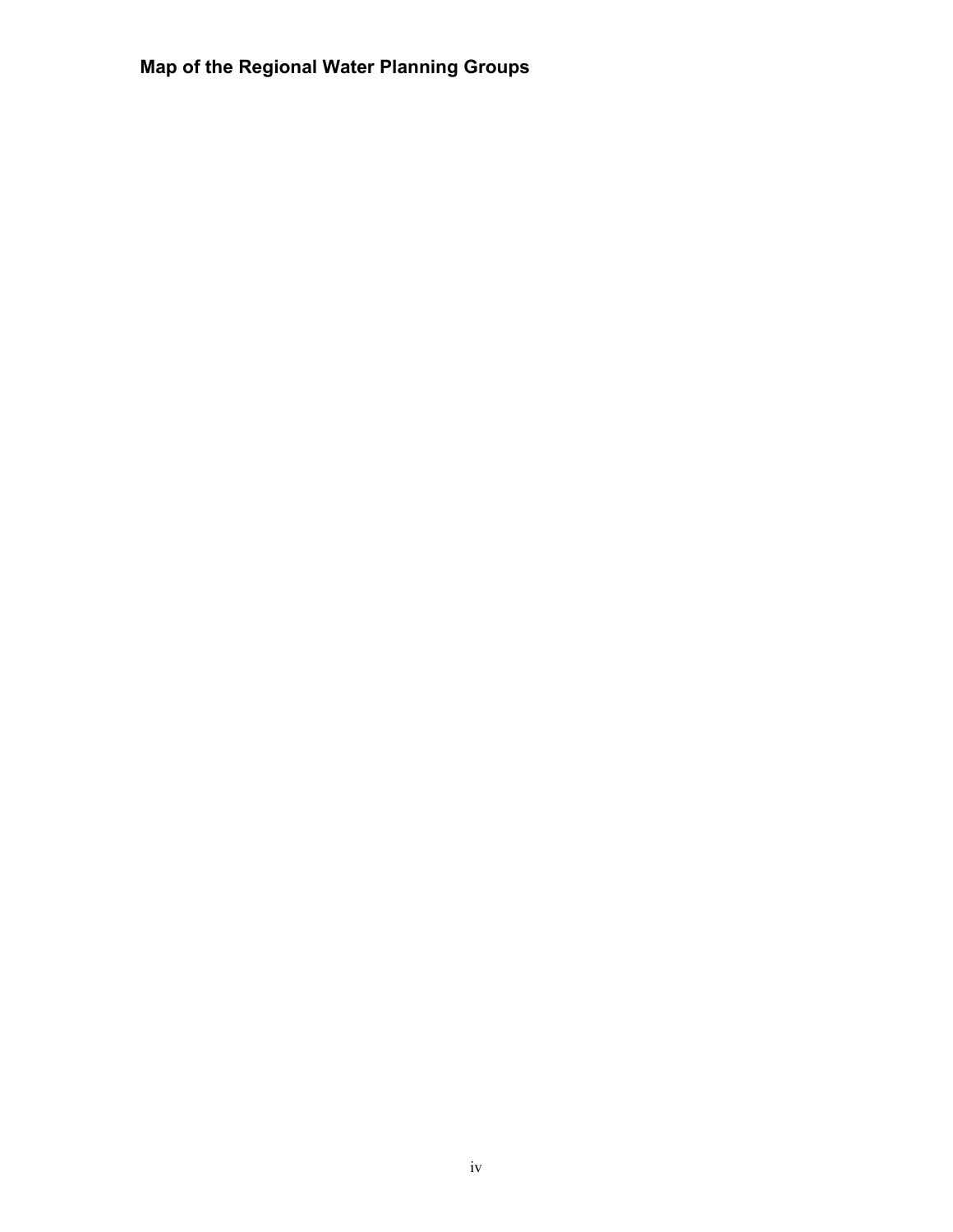# **Map of the Regional Water Planning Groups**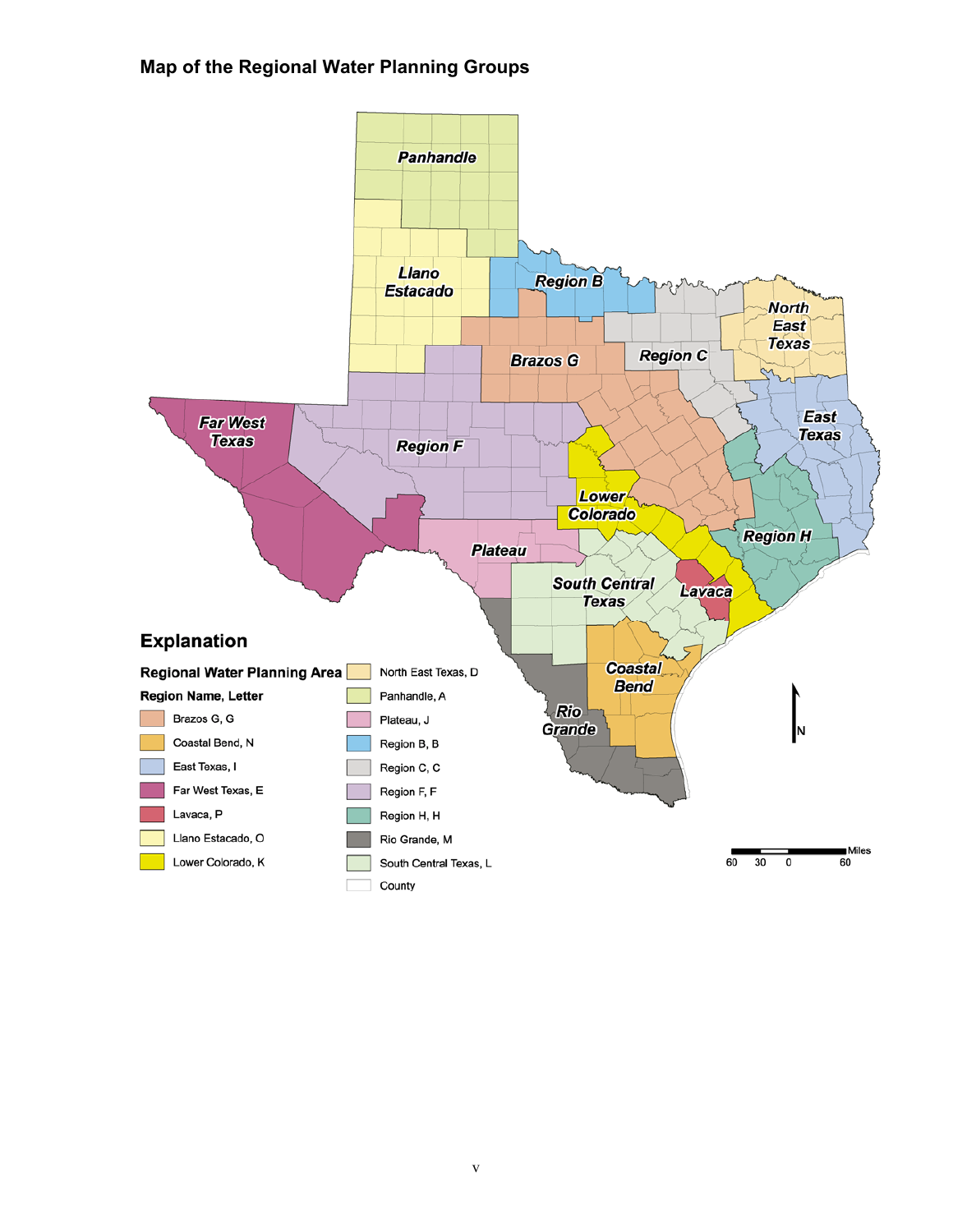### **Map of the Regional Water Planning Groups**

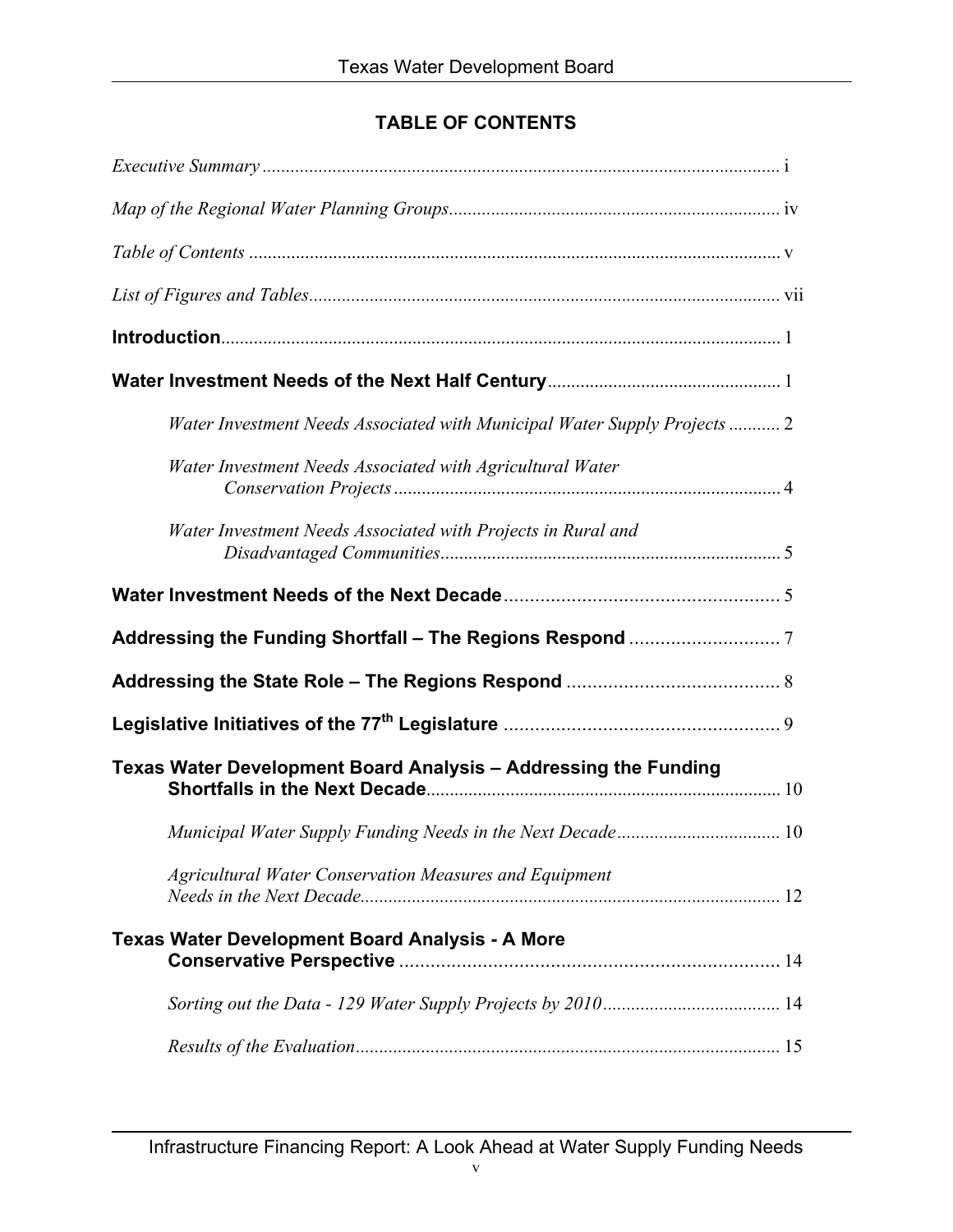## **TABLE OF CONTENTS**

| Water Investment Needs Associated with Municipal Water Supply Projects  2 |  |
|---------------------------------------------------------------------------|--|
| Water Investment Needs Associated with Agricultural Water                 |  |
| Water Investment Needs Associated with Projects in Rural and              |  |
|                                                                           |  |
|                                                                           |  |
|                                                                           |  |
|                                                                           |  |
| Texas Water Development Board Analysis - Addressing the Funding           |  |
|                                                                           |  |
| <b>Agricultural Water Conservation Measures and Equipment</b>             |  |
| <b>Texas Water Development Board Analysis - A More</b>                    |  |
|                                                                           |  |
|                                                                           |  |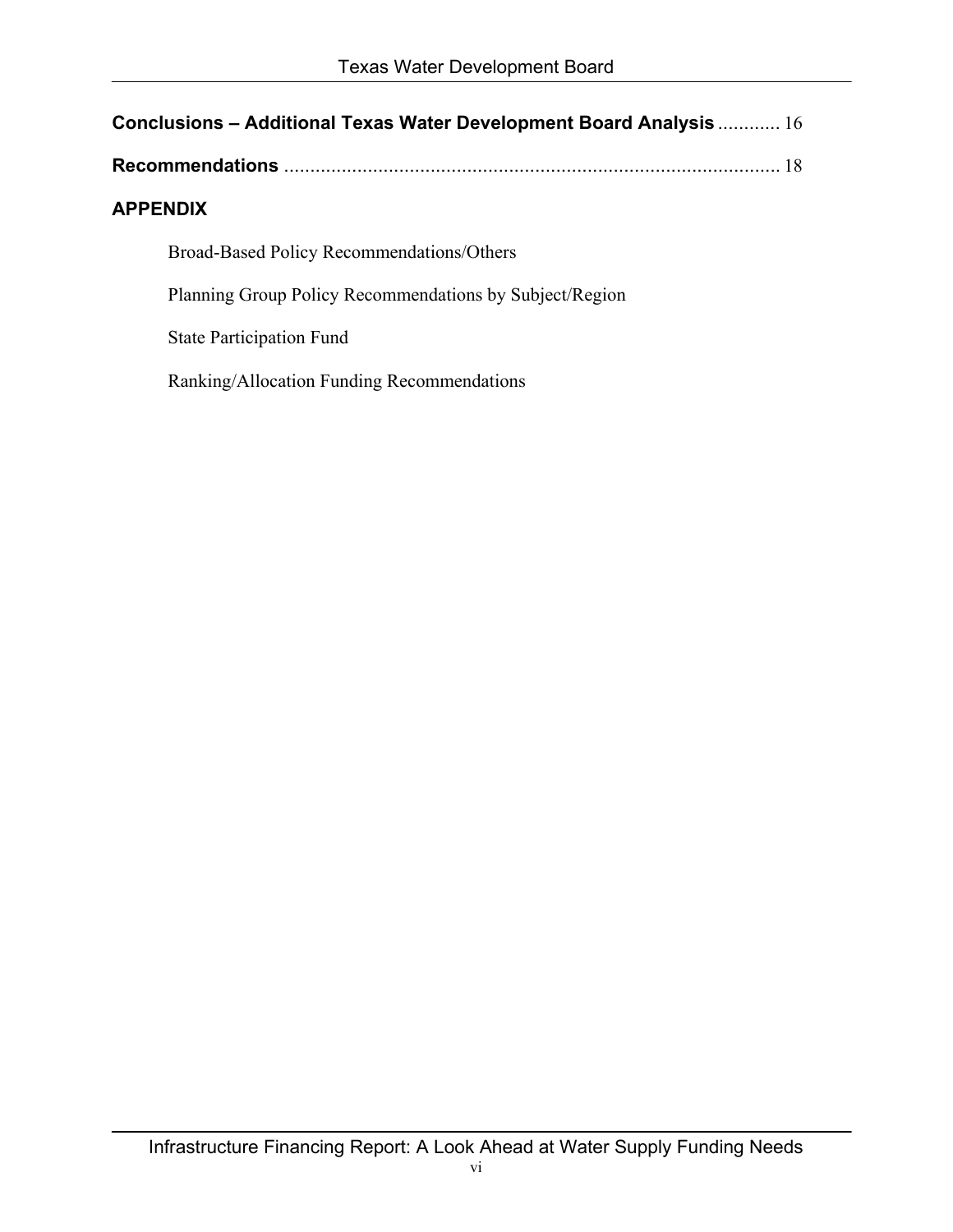| Conclusions – Additional Texas Water Development Board Analysis  16 |
|---------------------------------------------------------------------|
|                                                                     |
| <b>APPENDIX</b>                                                     |
| Broad-Based Policy Recommendations/Others                           |
| Planning Group Policy Recommendations by Subject/Region             |
| <b>State Participation Fund</b>                                     |
| Ranking/Allocation Funding Recommendations                          |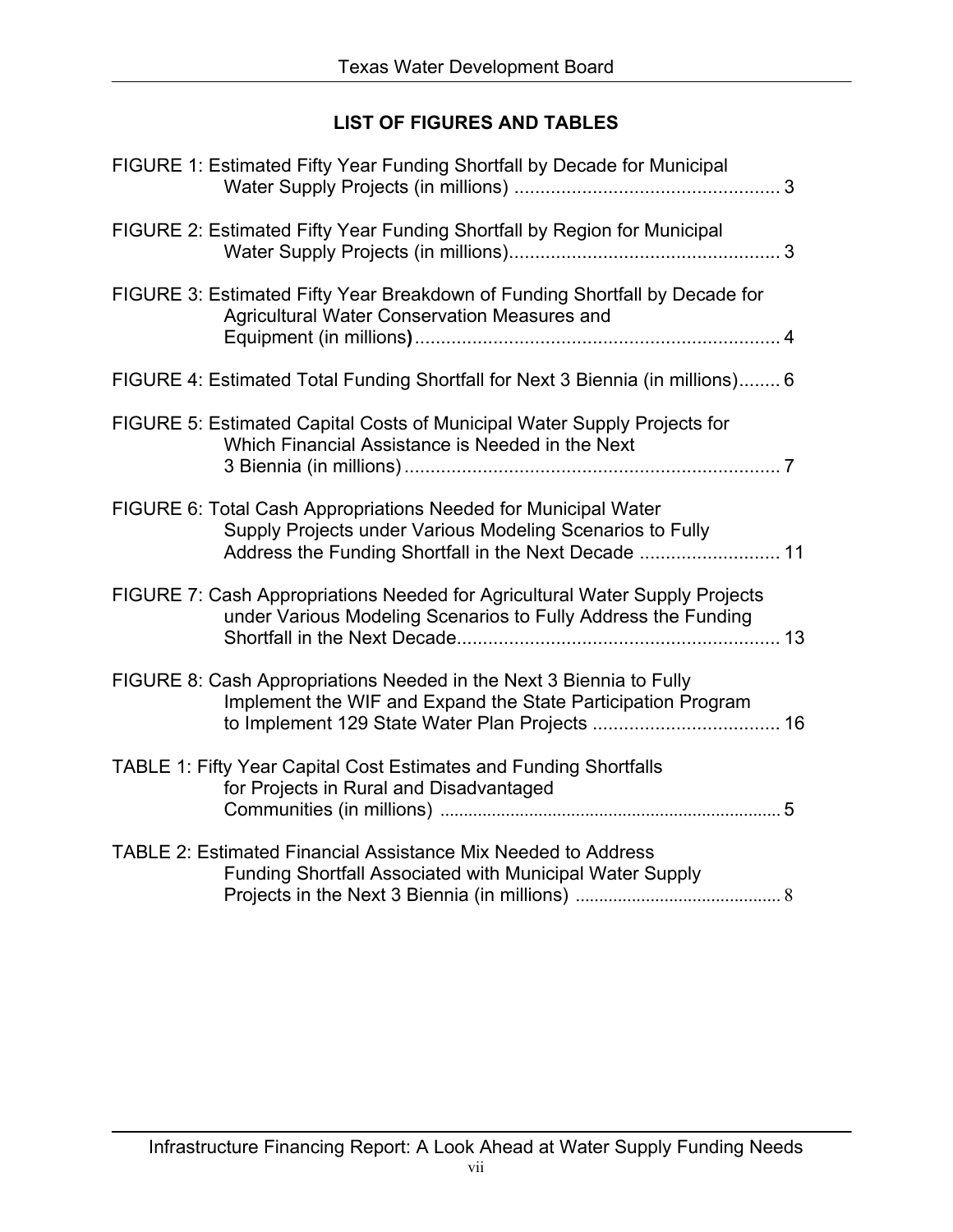## **LIST OF FIGURES AND TABLES**

| FIGURE 1: Estimated Fifty Year Funding Shortfall by Decade for Municipal                                                                                                            |  |
|-------------------------------------------------------------------------------------------------------------------------------------------------------------------------------------|--|
| FIGURE 2: Estimated Fifty Year Funding Shortfall by Region for Municipal                                                                                                            |  |
| FIGURE 3: Estimated Fifty Year Breakdown of Funding Shortfall by Decade for<br>Agricultural Water Conservation Measures and                                                         |  |
| FIGURE 4: Estimated Total Funding Shortfall for Next 3 Biennia (in millions) 6                                                                                                      |  |
| FIGURE 5: Estimated Capital Costs of Municipal Water Supply Projects for<br>Which Financial Assistance is Needed in the Next                                                        |  |
| FIGURE 6: Total Cash Appropriations Needed for Municipal Water<br>Supply Projects under Various Modeling Scenarios to Fully<br>Address the Funding Shortfall in the Next Decade  11 |  |
| FIGURE 7: Cash Appropriations Needed for Agricultural Water Supply Projects<br>under Various Modeling Scenarios to Fully Address the Funding                                        |  |
| FIGURE 8: Cash Appropriations Needed in the Next 3 Biennia to Fully<br>Implement the WIF and Expand the State Participation Program                                                 |  |
| <b>TABLE 1: Fifty Year Capital Cost Estimates and Funding Shortfalls</b><br>for Projects in Rural and Disadvantaged                                                                 |  |
| <b>TABLE 2: Estimated Financial Assistance Mix Needed to Address</b><br>Funding Shortfall Associated with Municipal Water Supply                                                    |  |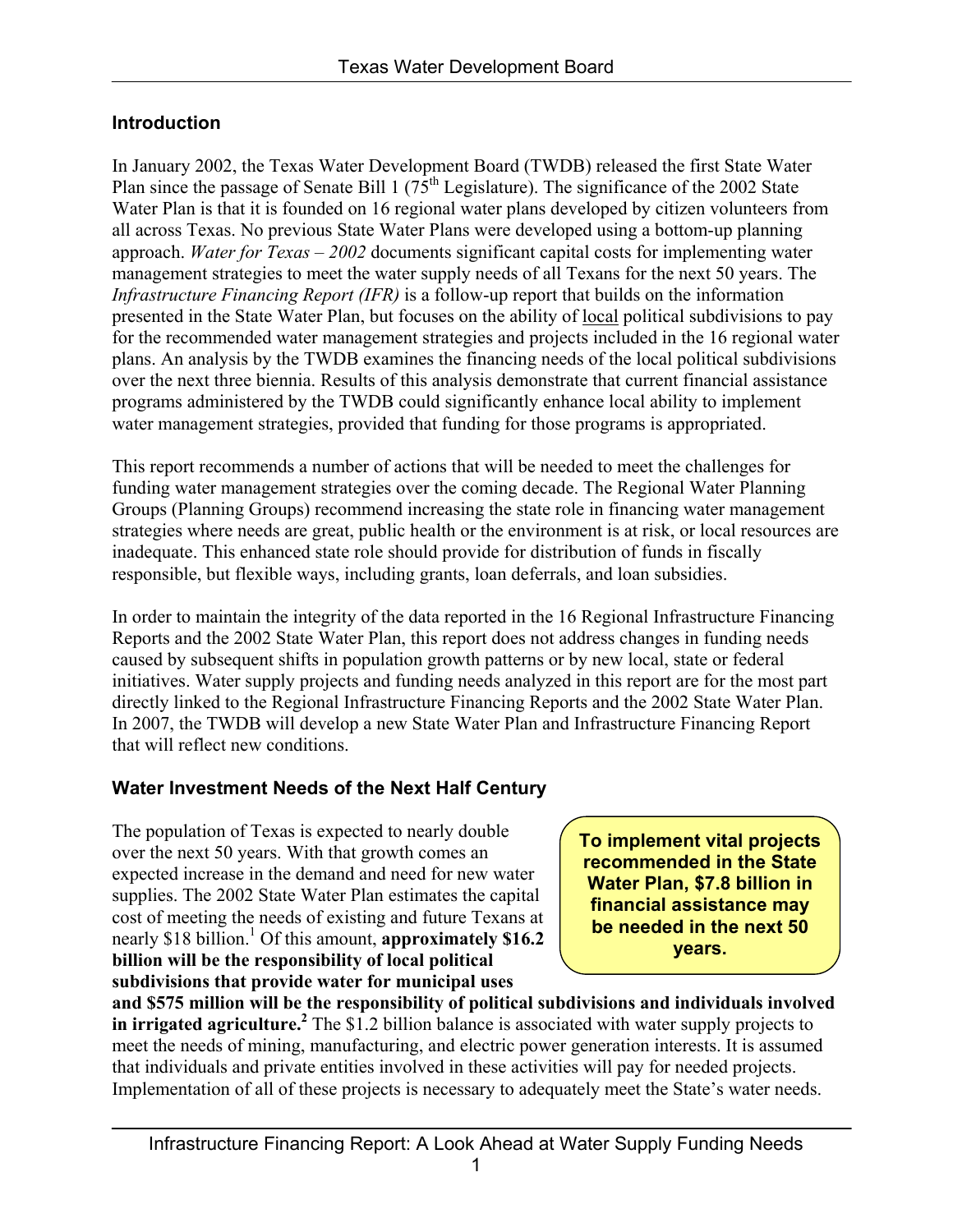### **Introduction**

In January 2002, the Texas Water Development Board (TWDB) released the first State Water Plan since the passage of Senate Bill 1  $(75<sup>th</sup>$  Legislature). The significance of the 2002 State Water Plan is that it is founded on 16 regional water plans developed by citizen volunteers from all across Texas. No previous State Water Plans were developed using a bottom-up planning approach. *Water for Texas – 2002* documents significant capital costs for implementing water management strategies to meet the water supply needs of all Texans for the next 50 years. The *Infrastructure Financing Report (IFR)* is a follow-up report that builds on the information presented in the State Water Plan, but focuses on the ability of local political subdivisions to pay for the recommended water management strategies and projects included in the 16 regional water plans. An analysis by the TWDB examines the financing needs of the local political subdivisions over the next three biennia. Results of this analysis demonstrate that current financial assistance programs administered by the TWDB could significantly enhance local ability to implement water management strategies, provided that funding for those programs is appropriated.

This report recommends a number of actions that will be needed to meet the challenges for funding water management strategies over the coming decade. The Regional Water Planning Groups (Planning Groups) recommend increasing the state role in financing water management strategies where needs are great, public health or the environment is at risk, or local resources are inadequate. This enhanced state role should provide for distribution of funds in fiscally responsible, but flexible ways, including grants, loan deferrals, and loan subsidies.

In order to maintain the integrity of the data reported in the 16 Regional Infrastructure Financing Reports and the 2002 State Water Plan, this report does not address changes in funding needs caused by subsequent shifts in population growth patterns or by new local, state or federal initiatives. Water supply projects and funding needs analyzed in this report are for the most part directly linked to the Regional Infrastructure Financing Reports and the 2002 State Water Plan. In 2007, the TWDB will develop a new State Water Plan and Infrastructure Financing Report that will reflect new conditions.

### **Water Investment Needs of the Next Half Century**

The population of Texas is expected to nearly double over the next 50 years. With that growth comes an expected increase in the demand and need for new water supplies. The 2002 State Water Plan estimates the capital cost of meeting the needs of existing and future Texans at nearly \$18 billion.[1](#page-27-0) Of this amount, **approximately \$16.2 billion will be the responsibility of local political subdivisions that provide water for municipal uses**

**To implement vital projects recommended in the State Water Plan, \$7.8 billion in financial assistance may be needed in the next 50 years.**

**and \$575 million will be the responsibility of political subdivisions and individuals involved** in irrigated agriculture.<sup>[2](#page-27-1)</sup> The \$1.2 billion balance is associated with water supply projects to meet the needs of mining, manufacturing, and electric power generation interests. It is assumed that individuals and private entities involved in these activities will pay for needed projects. Implementation of all of these projects is necessary to adequately meet the State's water needs.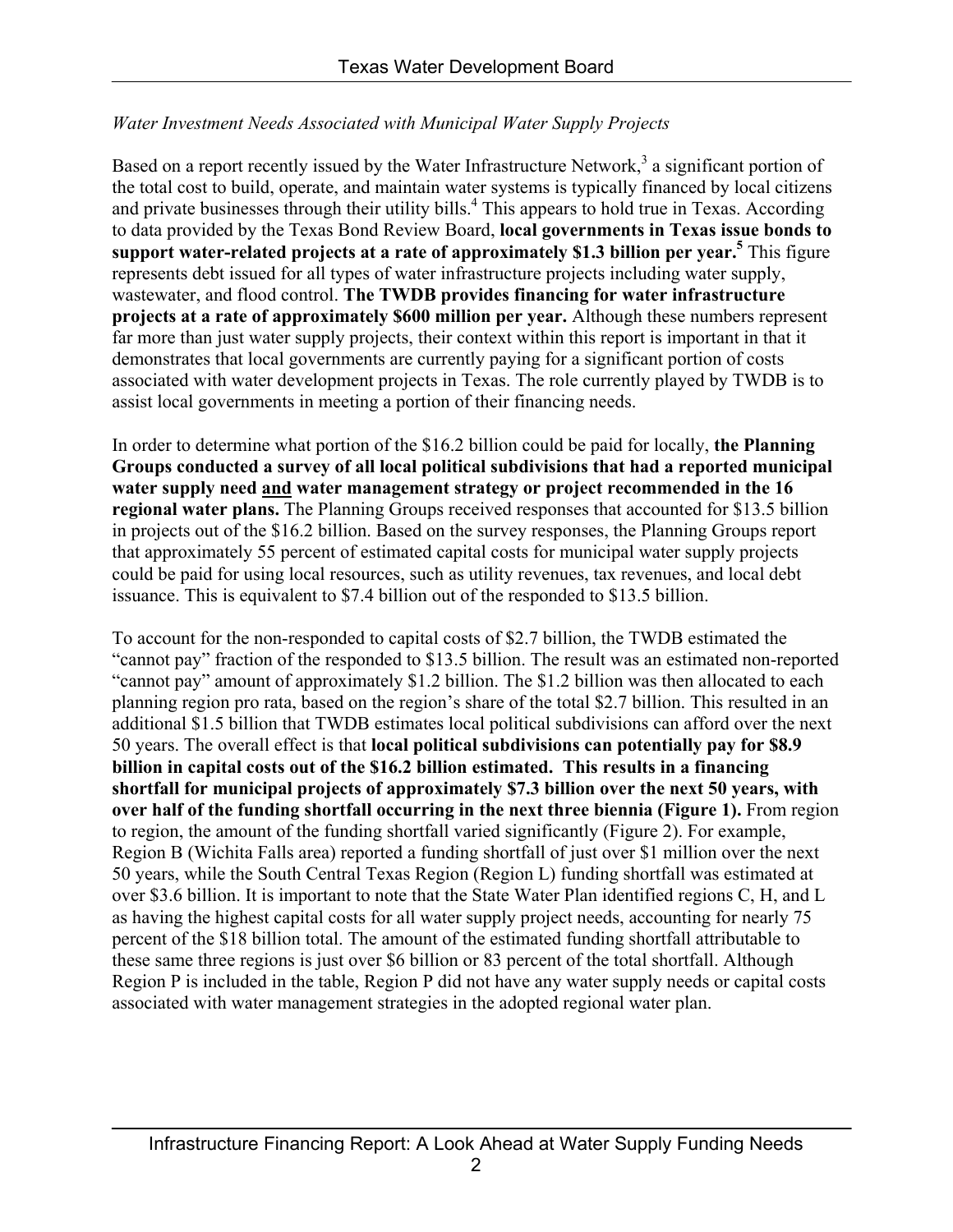### *Water Investment Needs Associated with Municipal Water Supply Projects*

Based on a report recently issued by the Water Infrastructure Network,<sup>[3](#page-27-2)</sup> a significant portion of the total cost to build, operate, and maintain water systems is typically financed by local citizens and private businesses through their utility bills.<sup>[4](#page-27-3)</sup> This appears to hold true in Texas. According to data provided by the Texas Bond Review Board, **local governments in Texas issue bonds to support water-related projects at a rate of approximately \$1.3 billion per year.[5](#page-27-4)** This figure represents debt issued for all types of water infrastructure projects including water supply, wastewater, and flood control. **The TWDB provides financing for water infrastructure projects at a rate of approximately \$600 million per year.** Although these numbers represent far more than just water supply projects, their context within this report is important in that it demonstrates that local governments are currently paying for a significant portion of costs associated with water development projects in Texas. The role currently played by TWDB is to assist local governments in meeting a portion of their financing needs.

In order to determine what portion of the \$16.2 billion could be paid for locally, **the Planning Groups conducted a survey of all local political subdivisions that had a reported municipal water supply need and water management strategy or project recommended in the 16 regional water plans.** The Planning Groups received responses that accounted for \$13.5 billion in projects out of the \$16.2 billion. Based on the survey responses, the Planning Groups report that approximately 55 percent of estimated capital costs for municipal water supply projects could be paid for using local resources, such as utility revenues, tax revenues, and local debt issuance. This is equivalent to \$7.4 billion out of the responded to \$13.5 billion.

To account for the non-responded to capital costs of \$2.7 billion, the TWDB estimated the "cannot pay" fraction of the responded to \$13.5 billion. The result was an estimated non-reported "cannot pay" amount of approximately \$1.2 billion. The \$1.2 billion was then allocated to each planning region pro rata, based on the region's share of the total \$2.7 billion. This resulted in an additional \$1.5 billion that TWDB estimates local political subdivisions can afford over the next 50 years. The overall effect is that **local political subdivisions can potentially pay for \$8.9 billion in capital costs out of the \$16.2 billion estimated. This results in a financing shortfall for municipal projects of approximately \$7.3 billion over the next 50 years, with over half of the funding shortfall occurring in the next three biennia (Figure 1).** From region to region, the amount of the funding shortfall varied significantly (Figure 2). For example, Region B (Wichita Falls area) reported a funding shortfall of just over \$1 million over the next 50 years, while the South Central Texas Region (Region L) funding shortfall was estimated at over \$3.6 billion. It is important to note that the State Water Plan identified regions C, H, and L as having the highest capital costs for all water supply project needs, accounting for nearly 75 percent of the \$18 billion total. The amount of the estimated funding shortfall attributable to these same three regions is just over \$6 billion or 83 percent of the total shortfall. Although Region P is included in the table, Region P did not have any water supply needs or capital costs associated with water management strategies in the adopted regional water plan.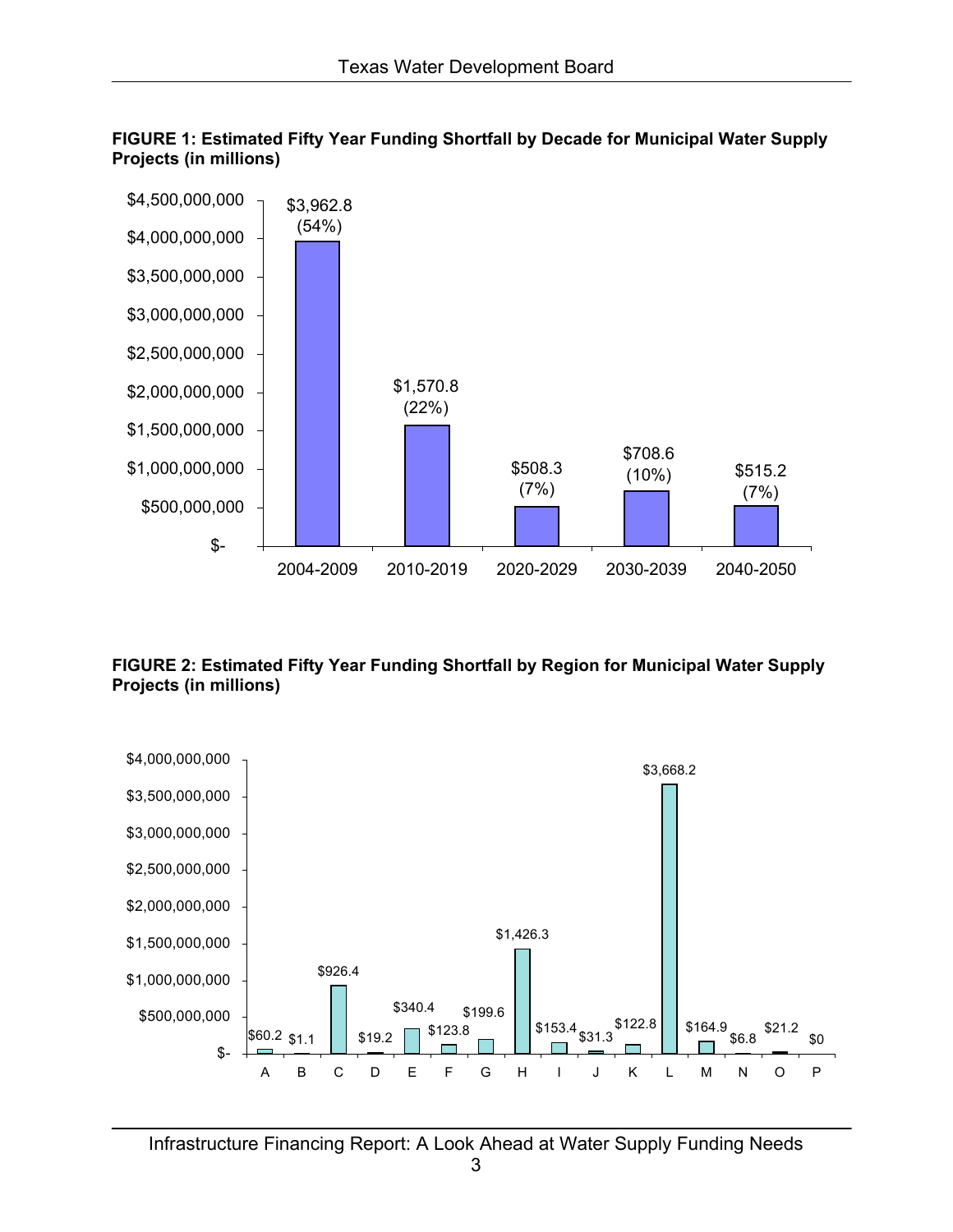

#### **FIGURE 1: Estimated Fifty Year Funding Shortfall by Decade for Municipal Water Supply Projects (in millions)**

### **FIGURE 2: Estimated Fifty Year Funding Shortfall by Region for Municipal Water Supply Projects (in millions)**



3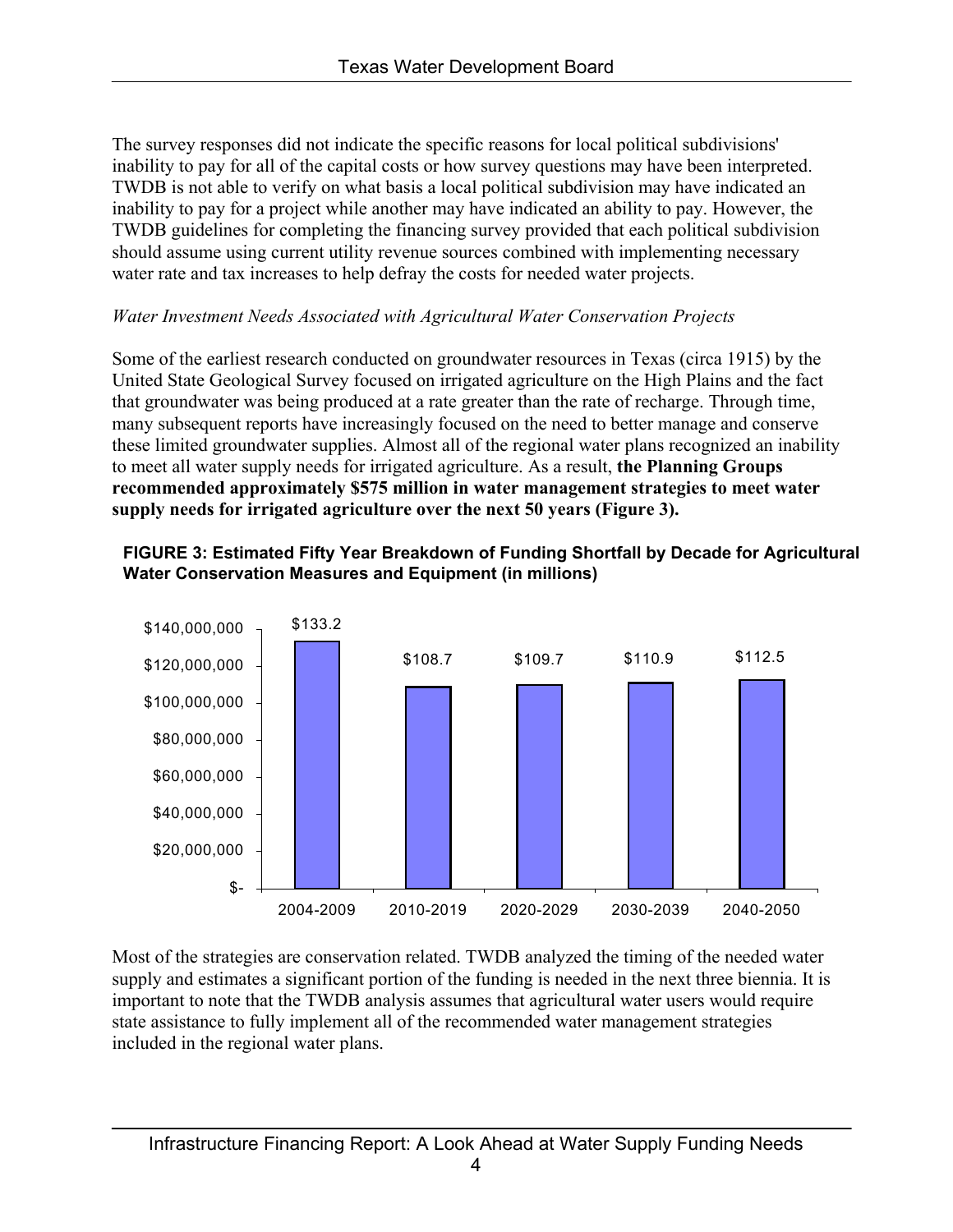The survey responses did not indicate the specific reasons for local political subdivisions' inability to pay for all of the capital costs or how survey questions may have been interpreted. TWDB is not able to verify on what basis a local political subdivision may have indicated an inability to pay for a project while another may have indicated an ability to pay. However, the TWDB guidelines for completing the financing survey provided that each political subdivision should assume using current utility revenue sources combined with implementing necessary water rate and tax increases to help defray the costs for needed water projects.

### *Water Investment Needs Associated with Agricultural Water Conservation Projects*

Some of the earliest research conducted on groundwater resources in Texas (circa 1915) by the United State Geological Survey focused on irrigated agriculture on the High Plains and the fact that groundwater was being produced at a rate greater than the rate of recharge. Through time, many subsequent reports have increasingly focused on the need to better manage and conserve these limited groundwater supplies. Almost all of the regional water plans recognized an inability to meet all water supply needs for irrigated agriculture. As a result, **the Planning Groups recommended approximately \$575 million in water management strategies to meet water supply needs for irrigated agriculture over the next 50 years (Figure 3).** 





Most of the strategies are conservation related. TWDB analyzed the timing of the needed water supply and estimates a significant portion of the funding is needed in the next three biennia. It is important to note that the TWDB analysis assumes that agricultural water users would require state assistance to fully implement all of the recommended water management strategies included in the regional water plans.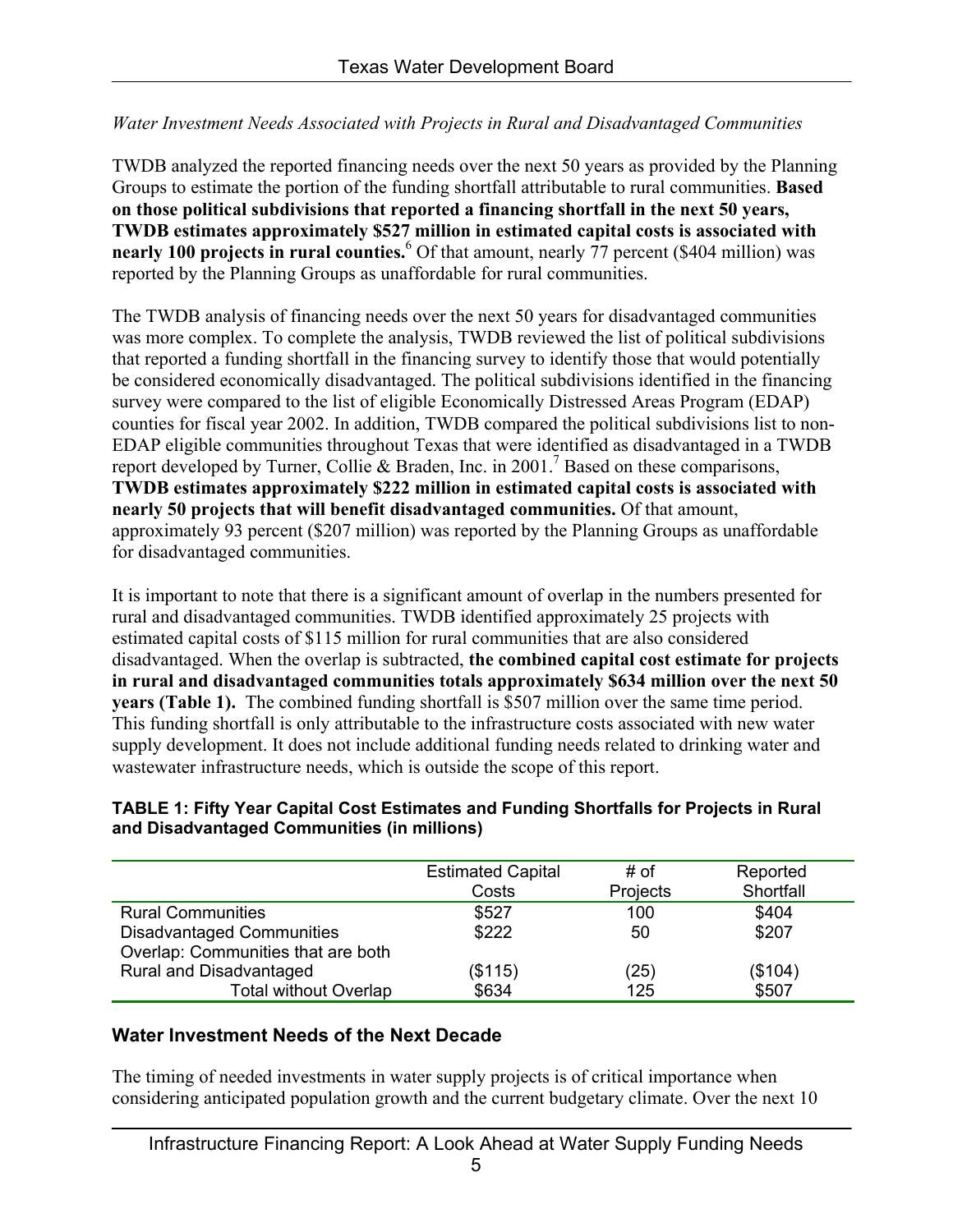### *Water Investment Needs Associated with Projects in Rural and Disadvantaged Communities*

TWDB analyzed the reported financing needs over the next 50 years as provided by the Planning Groups to estimate the portion of the funding shortfall attributable to rural communities. **Based on those political subdivisions that reported a financing shortfall in the next 50 years, TWDB estimates approximately \$527 million in estimated capital costs is associated with** nearly 100 projects in rural counties.<sup>6</sup> [O](#page-27-5)f that amount, nearly 77 percent (\$404 million) was reported by the Planning Groups as unaffordable for rural communities.

The TWDB analysis of financing needs over the next 50 years for disadvantaged communities was more complex. To complete the analysis, TWDB reviewed the list of political subdivisions that reported a funding shortfall in the financing survey to identify those that would potentially be considered economically disadvantaged. The political subdivisions identified in the financing survey were compared to the list of eligible Economically Distressed Areas Program (EDAP) counties for fiscal year 2002. In addition, TWDB compared the political subdivisions list to non-EDAP eligible communities throughout Texas that were identified as disadvantaged in a TWDB report developed by Turner, Collie & Braden, Inc. in 2001.<sup>[7](#page-27-6)</sup> Based on these comparisons, **TWDB estimates approximately \$222 million in estimated capital costs is associated with nearly 50 projects that will benefit disadvantaged communities.** Of that amount, approximately 93 percent (\$207 million) was reported by the Planning Groups as unaffordable for disadvantaged communities.

It is important to note that there is a significant amount of overlap in the numbers presented for rural and disadvantaged communities. TWDB identified approximately 25 projects with estimated capital costs of \$115 million for rural communities that are also considered disadvantaged. When the overlap is subtracted, **the combined capital cost estimate for projects in rural and disadvantaged communities totals approximately \$634 million over the next 50 years (Table 1).** The combined funding shortfall is \$507 million over the same time period. This funding shortfall is only attributable to the infrastructure costs associated with new water supply development. It does not include additional funding needs related to drinking water and wastewater infrastructure needs, which is outside the scope of this report.

#### **TABLE 1: Fifty Year Capital Cost Estimates and Funding Shortfalls for Projects in Rural and Disadvantaged Communities (in millions)**

|                                    | <b>Estimated Capital</b> | # of     | Reported  |
|------------------------------------|--------------------------|----------|-----------|
|                                    | Costs                    | Projects | Shortfall |
| <b>Rural Communities</b>           | \$527                    | 100      | \$404     |
| <b>Disadvantaged Communities</b>   | \$222                    | 50       | \$207     |
| Overlap: Communities that are both |                          |          |           |
| Rural and Disadvantaged            | (\$115)                  | (25)     | (\$104)   |
| <b>Total without Overlap</b>       | \$634                    | 125      | \$507     |

### **Water Investment Needs of the Next Decade**

The timing of needed investments in water supply projects is of critical importance when considering anticipated population growth and the current budgetary climate. Over the next 10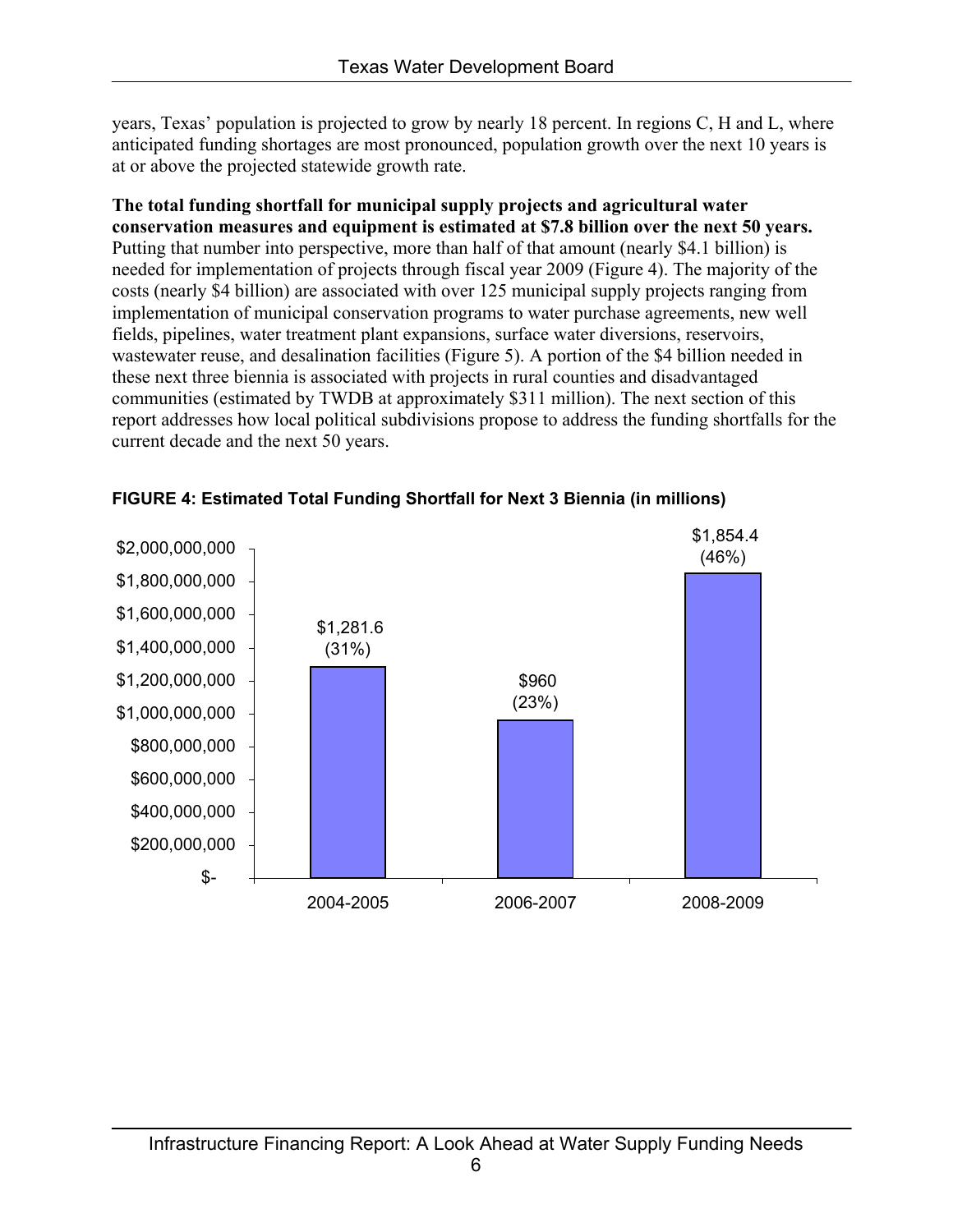years, Texas' population is projected to grow by nearly 18 percent. In regions C, H and L, where anticipated funding shortages are most pronounced, population growth over the next 10 years is at or above the projected statewide growth rate.

**The total funding shortfall for municipal supply projects and agricultural water conservation measures and equipment is estimated at \$7.8 billion over the next 50 years.** Putting that number into perspective, more than half of that amount (nearly \$4.1 billion) is needed for implementation of projects through fiscal year 2009 (Figure 4). The majority of the costs (nearly \$4 billion) are associated with over 125 municipal supply projects ranging from implementation of municipal conservation programs to water purchase agreements, new well fields, pipelines, water treatment plant expansions, surface water diversions, reservoirs, wastewater reuse, and desalination facilities (Figure 5). A portion of the \$4 billion needed in these next three biennia is associated with projects in rural counties and disadvantaged communities (estimated by TWDB at approximately \$311 million). The next section of this report addresses how local political subdivisions propose to address the funding shortfalls for the current decade and the next 50 years.



### **FIGURE 4: Estimated Total Funding Shortfall for Next 3 Biennia (in millions)**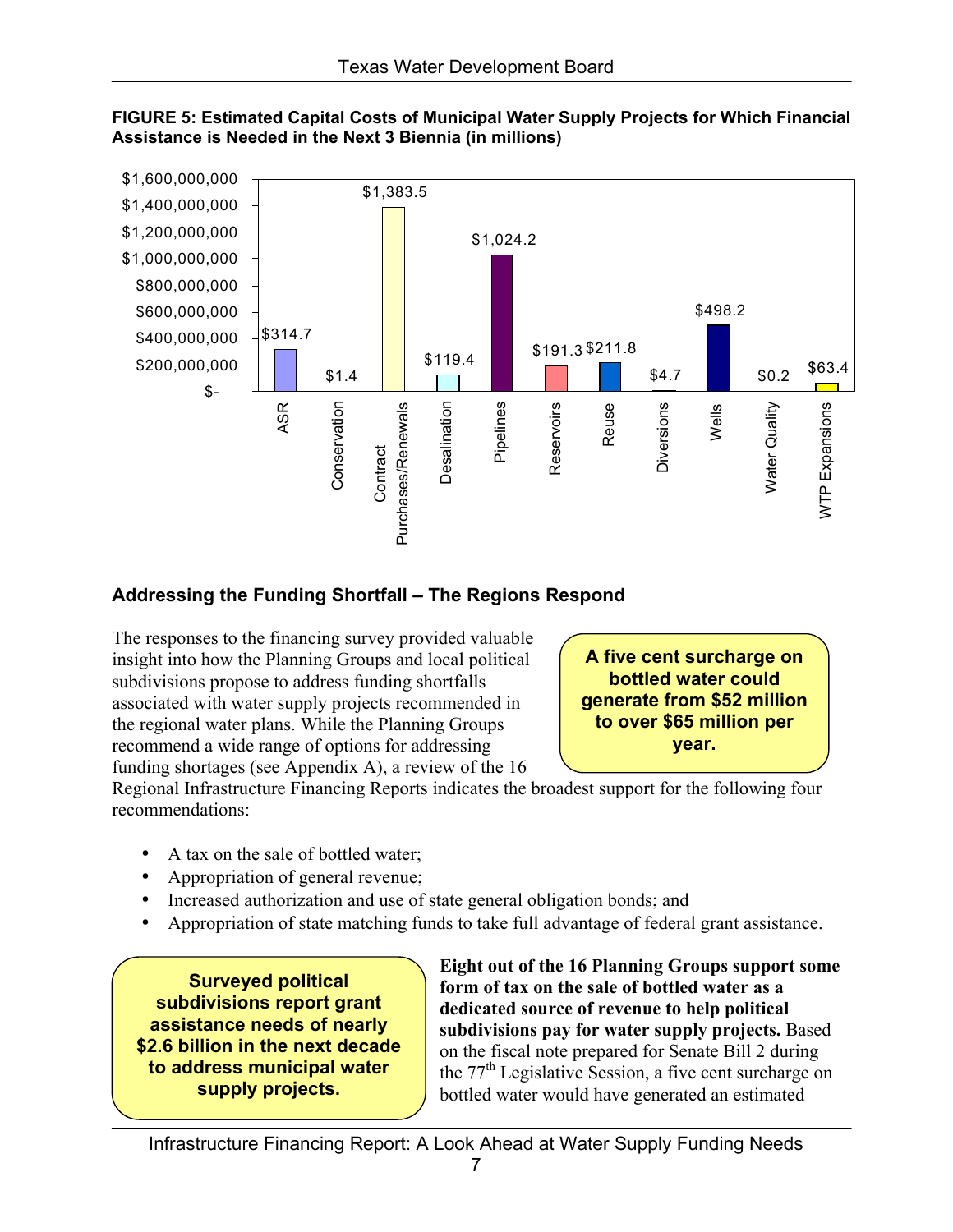

**FIGURE 5: Estimated Capital Costs of Municipal Water Supply Projects for Which Financial Assistance is Needed in the Next 3 Biennia (in millions)**

## **Addressing the Funding Shortfall – The Regions Respond**

The responses to the financing survey provided valuable insight into how the Planning Groups and local political subdivisions propose to address funding shortfalls associated with water supply projects recommended in the regional water plans. While the Planning Groups recommend a wide range of options for addressing funding shortages (see Appendix A), a review of the 16

**A five cent surcharge on bottled water could generate from \$52 million to over \$65 million per year.**

Regional Infrastructure Financing Reports indicates the broadest support for the following four recommendations:

- A tax on the sale of bottled water;
- Appropriation of general revenue;
- Increased authorization and use of state general obligation bonds; and
- Appropriation of state matching funds to take full advantage of federal grant assistance.

**Surveyed political subdivisions report grant assistance needs of nearly \$2.6 billion in the next decade to address municipal water supply projects.**

**Eight out of the 16 Planning Groups support some form of tax on the sale of bottled water as a dedicated source of revenue to help political subdivisions pay for water supply projects.** Based on the fiscal note prepared for Senate Bill 2 during the  $77<sup>th</sup>$  Legislative Session, a five cent surcharge on bottled water would have generated an estimated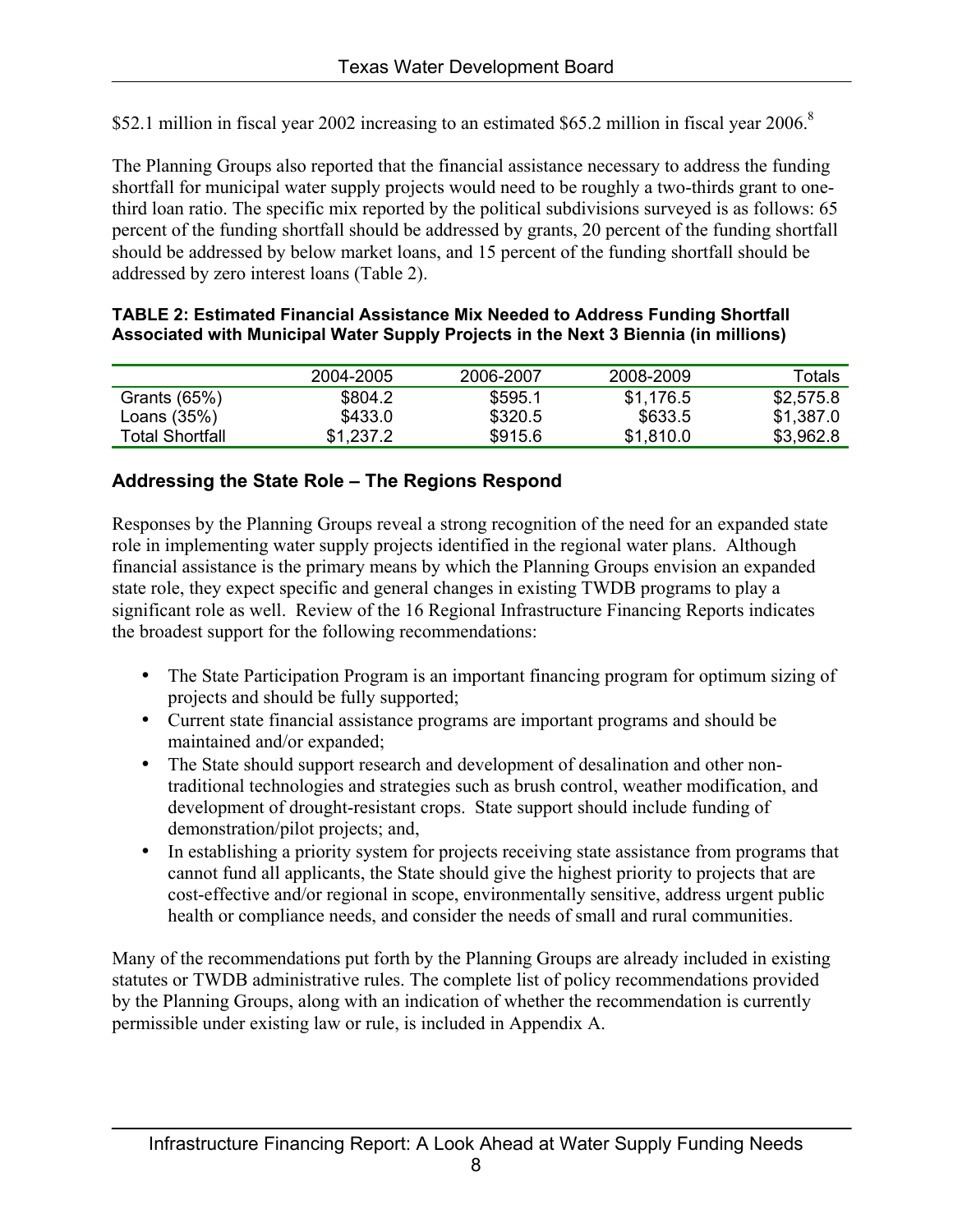\$52.1 million in fiscal year 2002 increasing to an estimated \$65.2 million in fiscal year 2006.[8](#page-27-7)

The Planning Groups also reported that the financial assistance necessary to address the funding shortfall for municipal water supply projects would need to be roughly a two-thirds grant to onethird loan ratio. The specific mix reported by the political subdivisions surveyed is as follows: 65 percent of the funding shortfall should be addressed by grants, 20 percent of the funding shortfall should be addressed by below market loans, and 15 percent of the funding shortfall should be addressed by zero interest loans (Table 2).

| <b>TABLE 2: Estimated Financial Assistance Mix Needed to Address Funding Shortfall</b> |  |
|----------------------------------------------------------------------------------------|--|
| Associated with Municipal Water Supply Projects in the Next 3 Biennia (in millions)    |  |

|                 | 2004-2005 | 2006-2007 | 2008-2009 | Totals    |
|-----------------|-----------|-----------|-----------|-----------|
| Grants (65%)    | \$804.2   | \$595.1   | \$1,176.5 | \$2,575.8 |
| Loans $(35%)$   | \$433.0   | \$320.5   | \$633.5   | \$1,387.0 |
| Total Shortfall | \$1,237.2 | \$915.6   | \$1,810.0 | \$3,962.8 |

### **Addressing the State Role – The Regions Respond**

Responses by the Planning Groups reveal a strong recognition of the need for an expanded state role in implementing water supply projects identified in the regional water plans. Although financial assistance is the primary means by which the Planning Groups envision an expanded state role, they expect specific and general changes in existing TWDB programs to play a significant role as well. Review of the 16 Regional Infrastructure Financing Reports indicates the broadest support for the following recommendations:

- The State Participation Program is an important financing program for optimum sizing of projects and should be fully supported;
- Current state financial assistance programs are important programs and should be maintained and/or expanded;
- The State should support research and development of desalination and other nontraditional technologies and strategies such as brush control, weather modification, and development of drought-resistant crops. State support should include funding of demonstration/pilot projects; and,
- In establishing a priority system for projects receiving state assistance from programs that cannot fund all applicants, the State should give the highest priority to projects that are cost-effective and/or regional in scope, environmentally sensitive, address urgent public health or compliance needs, and consider the needs of small and rural communities.

Many of the recommendations put forth by the Planning Groups are already included in existing statutes or TWDB administrative rules. The complete list of policy recommendations provided by the Planning Groups, along with an indication of whether the recommendation is currently permissible under existing law or rule, is included in Appendix A.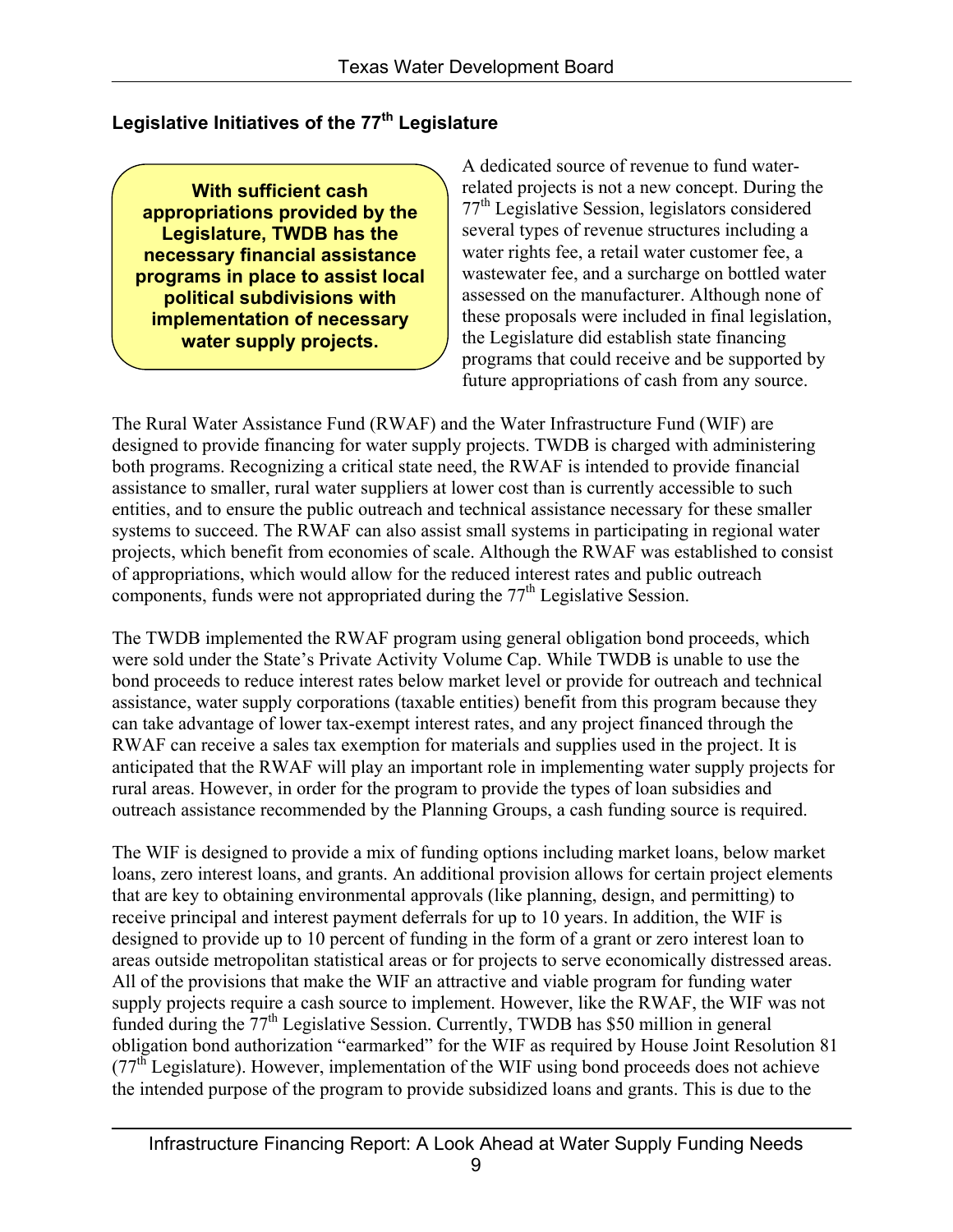## **Legislative Initiatives of the 77th Legislature**

**With sufficient cash appropriations provided by the Legislature, TWDB has the necessary financial assistance programs in place to assist local political subdivisions with implementation of necessary water supply projects.**

A dedicated source of revenue to fund waterrelated projects is not a new concept. During the 77th Legislative Session, legislators considered several types of revenue structures including a water rights fee, a retail water customer fee, a wastewater fee, and a surcharge on bottled water assessed on the manufacturer. Although none of these proposals were included in final legislation, the Legislature did establish state financing programs that could receive and be supported by future appropriations of cash from any source.

The Rural Water Assistance Fund (RWAF) and the Water Infrastructure Fund (WIF) are designed to provide financing for water supply projects. TWDB is charged with administering both programs. Recognizing a critical state need, the RWAF is intended to provide financial assistance to smaller, rural water suppliers at lower cost than is currently accessible to such entities, and to ensure the public outreach and technical assistance necessary for these smaller systems to succeed. The RWAF can also assist small systems in participating in regional water projects, which benefit from economies of scale. Although the RWAF was established to consist of appropriations, which would allow for the reduced interest rates and public outreach components, funds were not appropriated during the  $77<sup>th</sup>$  Legislative Session.

The TWDB implemented the RWAF program using general obligation bond proceeds, which were sold under the State's Private Activity Volume Cap. While TWDB is unable to use the bond proceeds to reduce interest rates below market level or provide for outreach and technical assistance, water supply corporations (taxable entities) benefit from this program because they can take advantage of lower tax-exempt interest rates, and any project financed through the RWAF can receive a sales tax exemption for materials and supplies used in the project. It is anticipated that the RWAF will play an important role in implementing water supply projects for rural areas. However, in order for the program to provide the types of loan subsidies and outreach assistance recommended by the Planning Groups, a cash funding source is required.

The WIF is designed to provide a mix of funding options including market loans, below market loans, zero interest loans, and grants. An additional provision allows for certain project elements that are key to obtaining environmental approvals (like planning, design, and permitting) to receive principal and interest payment deferrals for up to 10 years. In addition, the WIF is designed to provide up to 10 percent of funding in the form of a grant or zero interest loan to areas outside metropolitan statistical areas or for projects to serve economically distressed areas. All of the provisions that make the WIF an attractive and viable program for funding water supply projects require a cash source to implement. However, like the RWAF, the WIF was not funded during the  $77<sup>th</sup>$  Legislative Session. Currently, TWDB has \$50 million in general obligation bond authorization "earmarked" for the WIF as required by House Joint Resolution 81  $(77<sup>th</sup>$  Legislature). However, implementation of the WIF using bond proceeds does not achieve the intended purpose of the program to provide subsidized loans and grants. This is due to the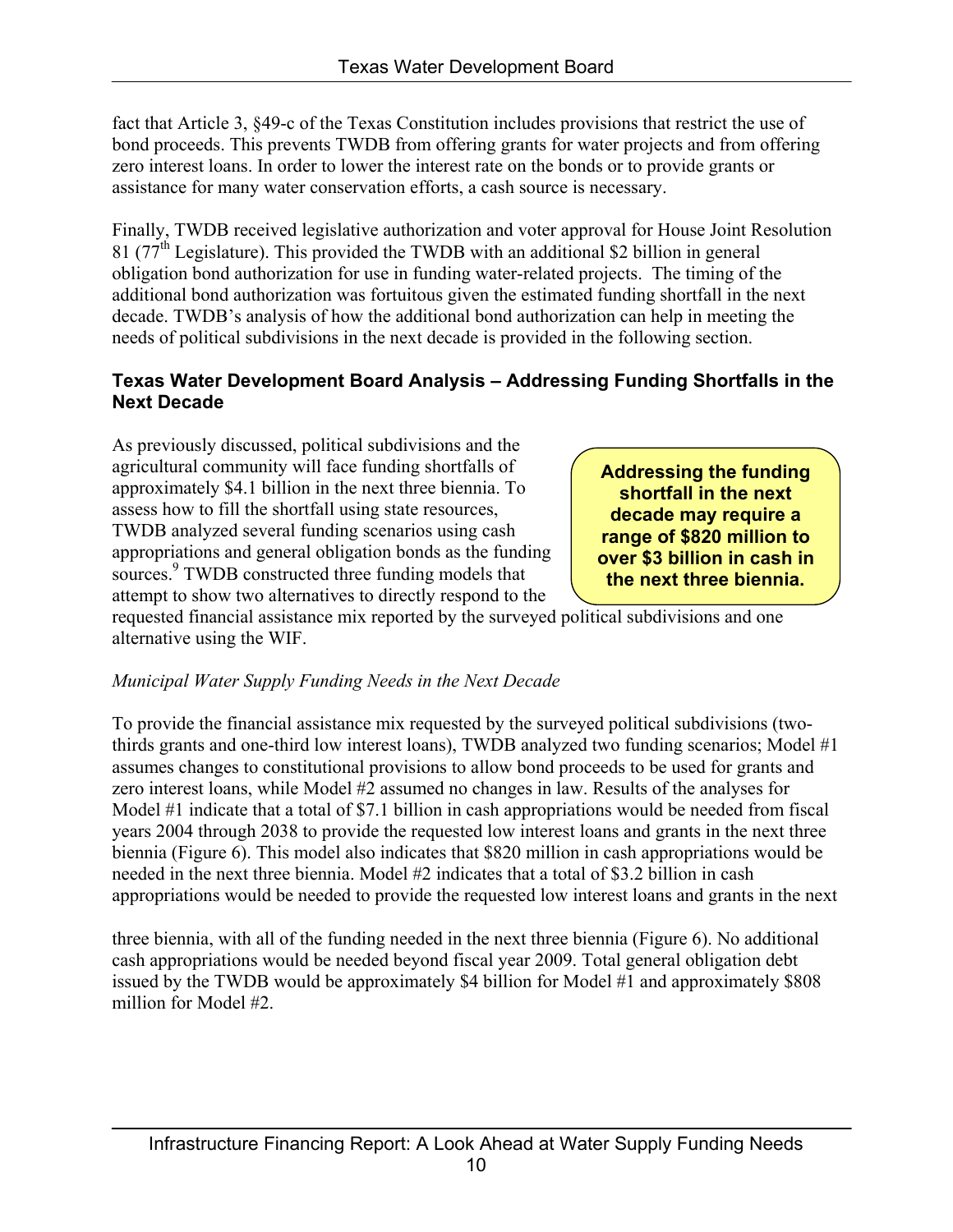fact that Article 3, §49-c of the Texas Constitution includes provisions that restrict the use of bond proceeds. This prevents TWDB from offering grants for water projects and from offering zero interest loans. In order to lower the interest rate on the bonds or to provide grants or assistance for many water conservation efforts, a cash source is necessary.

Finally, TWDB received legislative authorization and voter approval for House Joint Resolution 81 ( $77<sup>th</sup>$  Legislature). This provided the TWDB with an additional \$2 billion in general obligation bond authorization for use in funding water-related projects. The timing of the additional bond authorization was fortuitous given the estimated funding shortfall in the next decade. TWDB's analysis of how the additional bond authorization can help in meeting the needs of political subdivisions in the next decade is provided in the following section.

### **Texas Water Development Board Analysis – Addressing Funding Shortfalls in the Next Decade**

As previously discussed, political subdivisions and the agricultural community will face funding shortfalls of approximately \$4.1 billion in the next three biennia. To assess how to fill the shortfall using state resources, TWDB analyzed several funding scenarios using cash appropriations and general obligation bonds as the funding sources.<sup>9</sup> TWDB constructed three funding models that attempt to show two alternatives to directly respond to the

**Addressing the funding shortfall in the next decade may require a range of \$820 million to over \$3 billion in cash in the next three biennia.**

requested financial assistance mix reported by the surveyed political subdivisions and one alternative using the WIF.

### *Municipal Water Supply Funding Needs in the Next Decade*

To provide the financial assistance mix requested by the surveyed political subdivisions (twothirds grants and one-third low interest loans), TWDB analyzed two funding scenarios; Model #1 assumes changes to constitutional provisions to allow bond proceeds to be used for grants and zero interest loans, while Model #2 assumed no changes in law. Results of the analyses for Model #1 indicate that a total of \$7.1 billion in cash appropriations would be needed from fiscal years 2004 through 2038 to provide the requested low interest loans and grants in the next three biennia (Figure 6). This model also indicates that \$820 million in cash appropriations would be needed in the next three biennia. Model #2 indicates that a total of \$3.2 billion in cash appropriations would be needed to provide the requested low interest loans and grants in the next

three biennia, with all of the funding needed in the next three biennia (Figure 6). No additional cash appropriations would be needed beyond fiscal year 2009. Total general obligation debt issued by the TWDB would be approximately \$4 billion for Model #1 and approximately \$808 million for Model #2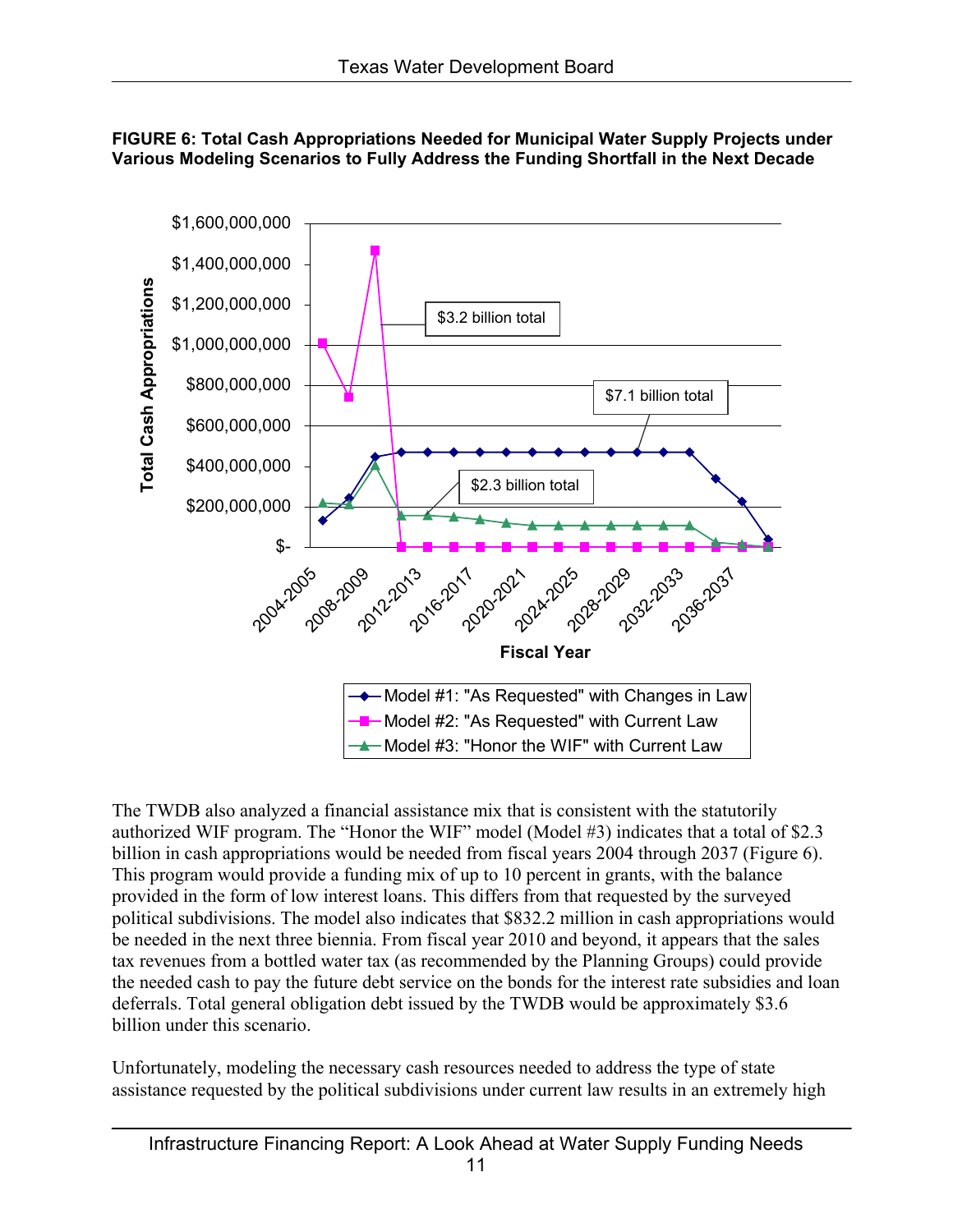

### **FIGURE 6: Total Cash Appropriations Needed for Municipal Water Supply Projects under Various Modeling Scenarios to Fully Address the Funding Shortfall in the Next Decade**

The TWDB also analyzed a financial assistance mix that is consistent with the statutorily authorized WIF program. The "Honor the WIF" model (Model #3) indicates that a total of \$2.3 billion in cash appropriations would be needed from fiscal years 2004 through 2037 (Figure 6). This program would provide a funding mix of up to 10 percent in grants, with the balance provided in the form of low interest loans. This differs from that requested by the surveyed political subdivisions. The model also indicates that \$832.2 million in cash appropriations would be needed in the next three biennia. From fiscal year 2010 and beyond, it appears that the sales tax revenues from a bottled water tax (as recommended by the Planning Groups) could provide the needed cash to pay the future debt service on the bonds for the interest rate subsidies and loan deferrals. Total general obligation debt issued by the TWDB would be approximately \$3.6 billion under this scenario.

Unfortunately, modeling the necessary cash resources needed to address the type of state assistance requested by the political subdivisions under current law results in an extremely high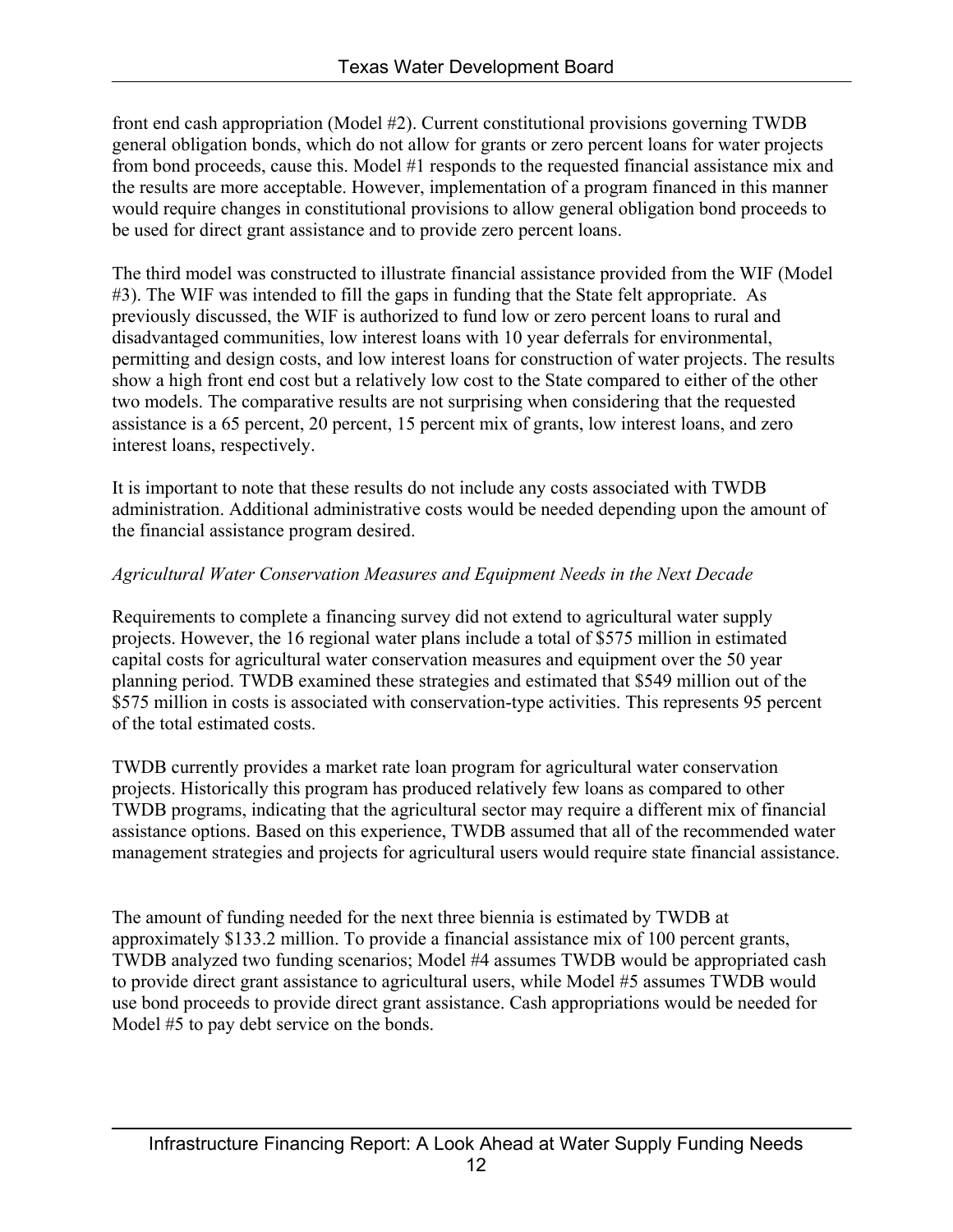front end cash appropriation (Model #2). Current constitutional provisions governing TWDB general obligation bonds, which do not allow for grants or zero percent loans for water projects from bond proceeds, cause this. Model #1 responds to the requested financial assistance mix and the results are more acceptable. However, implementation of a program financed in this manner would require changes in constitutional provisions to allow general obligation bond proceeds to be used for direct grant assistance and to provide zero percent loans.

The third model was constructed to illustrate financial assistance provided from the WIF (Model #3). The WIF was intended to fill the gaps in funding that the State felt appropriate. As previously discussed, the WIF is authorized to fund low or zero percent loans to rural and disadvantaged communities, low interest loans with 10 year deferrals for environmental, permitting and design costs, and low interest loans for construction of water projects. The results show a high front end cost but a relatively low cost to the State compared to either of the other two models. The comparative results are not surprising when considering that the requested assistance is a 65 percent, 20 percent, 15 percent mix of grants, low interest loans, and zero interest loans, respectively.

It is important to note that these results do not include any costs associated with TWDB administration. Additional administrative costs would be needed depending upon the amount of the financial assistance program desired.

### *Agricultural Water Conservation Measures and Equipment Needs in the Next Decade*

Requirements to complete a financing survey did not extend to agricultural water supply projects. However, the 16 regional water plans include a total of \$575 million in estimated capital costs for agricultural water conservation measures and equipment over the 50 year planning period. TWDB examined these strategies and estimated that \$549 million out of the \$575 million in costs is associated with conservation-type activities. This represents 95 percent of the total estimated costs.

TWDB currently provides a market rate loan program for agricultural water conservation projects. Historically this program has produced relatively few loans as compared to other TWDB programs, indicating that the agricultural sector may require a different mix of financial assistance options. Based on this experience, TWDB assumed that all of the recommended water management strategies and projects for agricultural users would require state financial assistance.

The amount of funding needed for the next three biennia is estimated by TWDB at approximately \$133.2 million. To provide a financial assistance mix of 100 percent grants, TWDB analyzed two funding scenarios; Model #4 assumes TWDB would be appropriated cash to provide direct grant assistance to agricultural users, while Model #5 assumes TWDB would use bond proceeds to provide direct grant assistance. Cash appropriations would be needed for Model #5 to pay debt service on the bonds.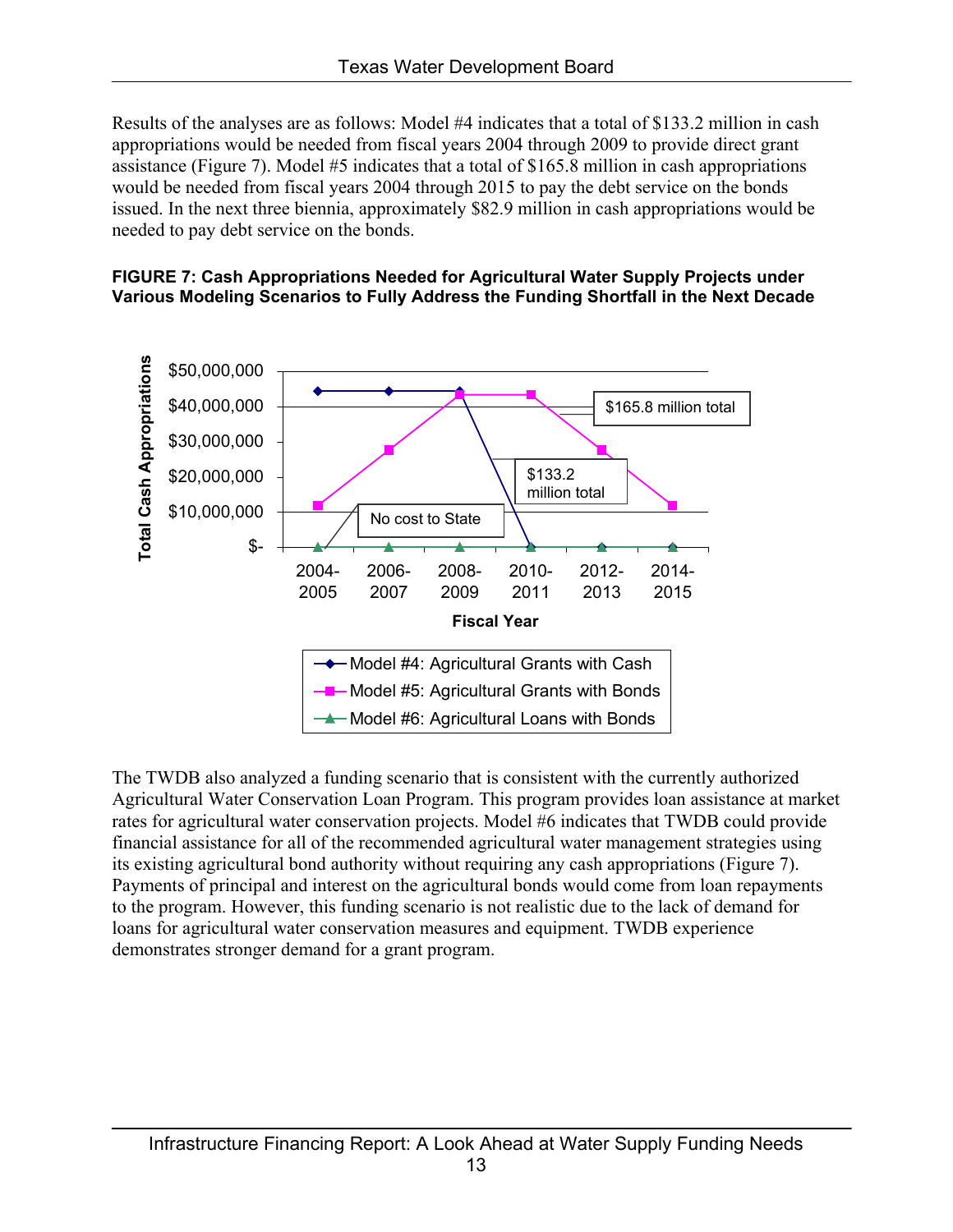Results of the analyses are as follows: Model #4 indicates that a total of \$133.2 million in cash appropriations would be needed from fiscal years 2004 through 2009 to provide direct grant assistance (Figure 7). Model #5 indicates that a total of \$165.8 million in cash appropriations would be needed from fiscal years 2004 through 2015 to pay the debt service on the bonds issued. In the next three biennia, approximately \$82.9 million in cash appropriations would be needed to pay debt service on the bonds.

#### **FIGURE 7: Cash Appropriations Needed for Agricultural Water Supply Projects under Various Modeling Scenarios to Fully Address the Funding Shortfall in the Next Decade**



The TWDB also analyzed a funding scenario that is consistent with the currently authorized Agricultural Water Conservation Loan Program. This program provides loan assistance at market rates for agricultural water conservation projects. Model #6 indicates that TWDB could provide financial assistance for all of the recommended agricultural water management strategies using its existing agricultural bond authority without requiring any cash appropriations (Figure 7). Payments of principal and interest on the agricultural bonds would come from loan repayments to the program. However, this funding scenario is not realistic due to the lack of demand for loans for agricultural water conservation measures and equipment. TWDB experience demonstrates stronger demand for a grant program.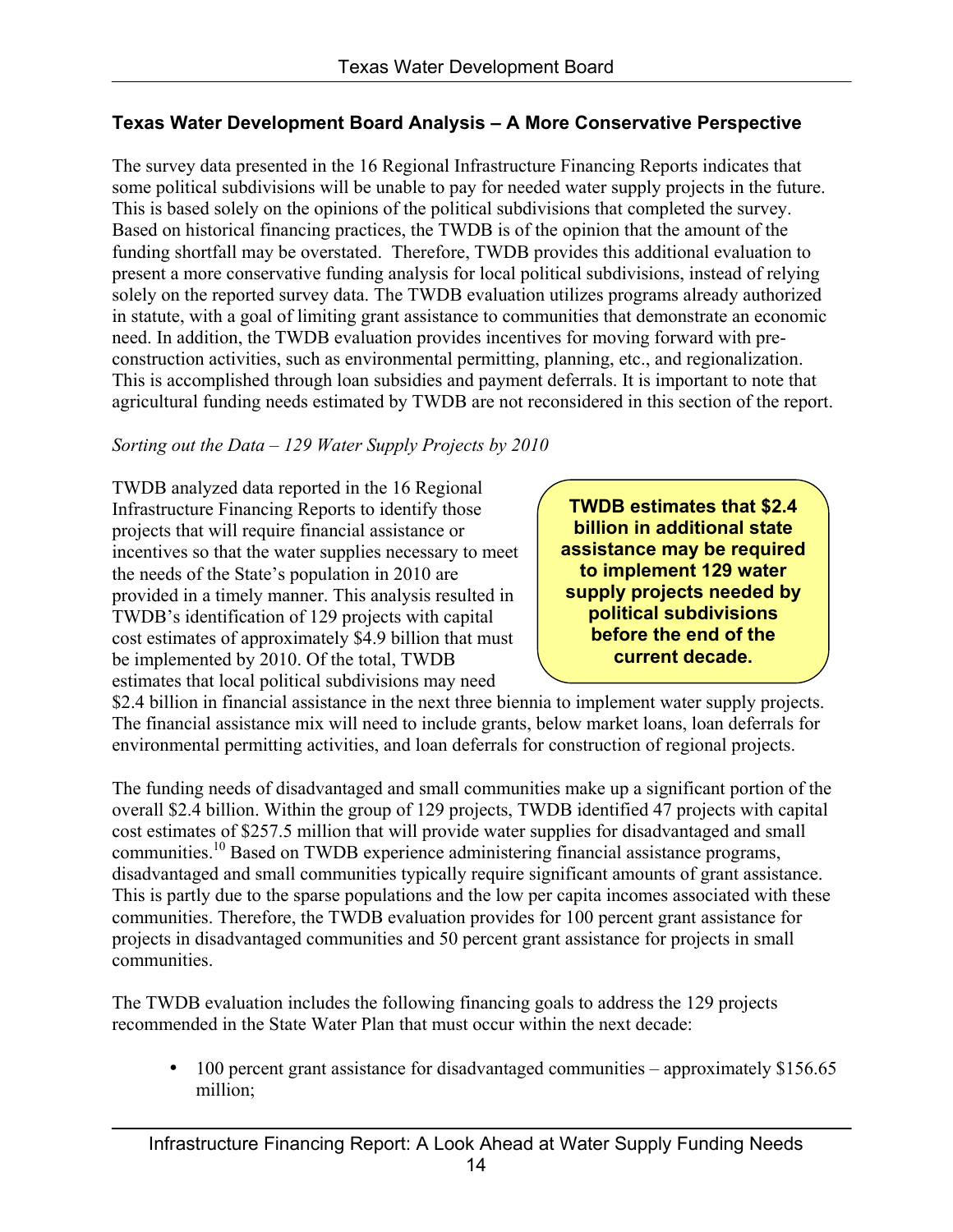### **Texas Water Development Board Analysis – A More Conservative Perspective**

The survey data presented in the 16 Regional Infrastructure Financing Reports indicates that some political subdivisions will be unable to pay for needed water supply projects in the future. This is based solely on the opinions of the political subdivisions that completed the survey. Based on historical financing practices, the TWDB is of the opinion that the amount of the funding shortfall may be overstated. Therefore, TWDB provides this additional evaluation to present a more conservative funding analysis for local political subdivisions, instead of relying solely on the reported survey data. The TWDB evaluation utilizes programs already authorized in statute, with a goal of limiting grant assistance to communities that demonstrate an economic need. In addition, the TWDB evaluation provides incentives for moving forward with preconstruction activities, such as environmental permitting, planning, etc., and regionalization. This is accomplished through loan subsidies and payment deferrals. It is important to note that agricultural funding needs estimated by TWDB are not reconsidered in this section of the report.

### *Sorting out the Data – 129 Water Supply Projects by 2010*

TWDB analyzed data reported in the 16 Regional Infrastructure Financing Reports to identify those projects that will require financial assistance or incentives so that the water supplies necessary to meet the needs of the State's population in 2010 are provided in a timely manner. This analysis resulted in TWDB's identification of 129 projects with capital cost estimates of approximately \$4.9 billion that must be implemented by 2010. Of the total, TWDB estimates that local political subdivisions may need

**TWDB estimates that \$2.4 billion in additional state assistance may be required to implement 129 water supply projects needed by political subdivisions before the end of the current decade.**

\$2.4 billion in financial assistance in the next three biennia to implement water supply projects. The financial assistance mix will need to include grants, below market loans, loan deferrals for environmental permitting activities, and loan deferrals for construction of regional projects.

The funding needs of disadvantaged and small communities make up a significant portion of the overall \$2.4 billion. Within the group of 129 projects, TWDB identified 47 projects with capital cost estimates of \$257.5 million that will provide water supplies for disadvantaged and small communities[.10 B](#page-27-9)ased on TWDB experience administering financial assistance programs, disadvantaged and small communities typically require significant amounts of grant assistance. This is partly due to the sparse populations and the low per capita incomes associated with these communities. Therefore, the TWDB evaluation provides for 100 percent grant assistance for projects in disadvantaged communities and 50 percent grant assistance for projects in small communities.

The TWDB evaluation includes the following financing goals to address the 129 projects recommended in the State Water Plan that must occur within the next decade:

• 100 percent grant assistance for disadvantaged communities – approximately \$156.65 million;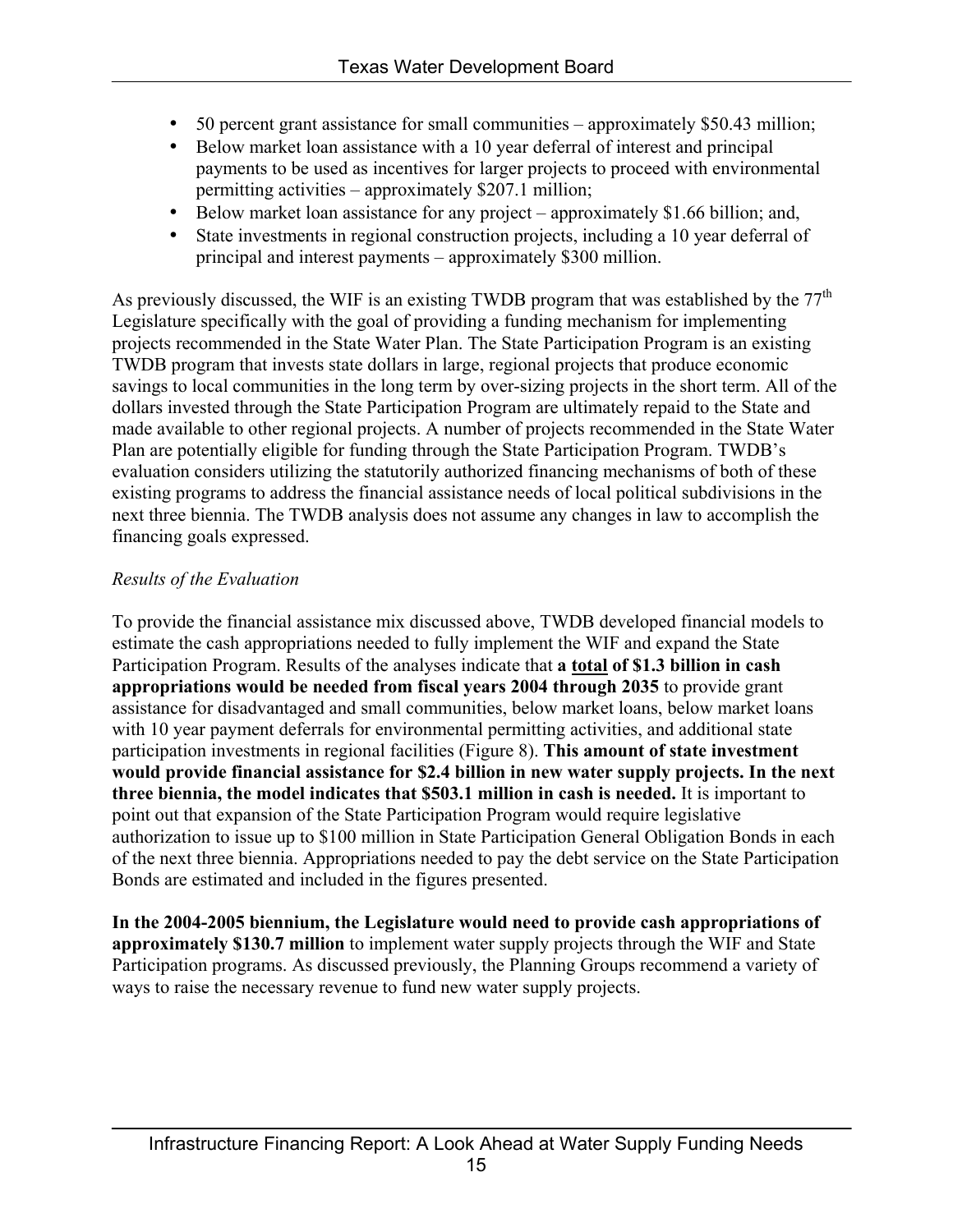- 50 percent grant assistance for small communities approximately \$50.43 million;
- Below market loan assistance with a 10 year deferral of interest and principal payments to be used as incentives for larger projects to proceed with environmental permitting activities – approximately \$207.1 million;
- Below market loan assistance for any project approximately \$1.66 billion; and,
- State investments in regional construction projects, including a 10 year deferral of principal and interest payments – approximately \$300 million.

As previously discussed, the WIF is an existing TWDB program that was established by the 77<sup>th</sup> Legislature specifically with the goal of providing a funding mechanism for implementing projects recommended in the State Water Plan. The State Participation Program is an existing TWDB program that invests state dollars in large, regional projects that produce economic savings to local communities in the long term by over-sizing projects in the short term. All of the dollars invested through the State Participation Program are ultimately repaid to the State and made available to other regional projects. A number of projects recommended in the State Water Plan are potentially eligible for funding through the State Participation Program. TWDB's evaluation considers utilizing the statutorily authorized financing mechanisms of both of these existing programs to address the financial assistance needs of local political subdivisions in the next three biennia. The TWDB analysis does not assume any changes in law to accomplish the financing goals expressed.

### *Results of the Evaluation*

To provide the financial assistance mix discussed above, TWDB developed financial models to estimate the cash appropriations needed to fully implement the WIF and expand the State Participation Program. Results of the analyses indicate that **a total of \$1.3 billion in cash appropriations would be needed from fiscal years 2004 through 2035** to provide grant assistance for disadvantaged and small communities, below market loans, below market loans with 10 year payment deferrals for environmental permitting activities, and additional state participation investments in regional facilities (Figure 8). **This amount of state investment would provide financial assistance for \$2.4 billion in new water supply projects. In the next three biennia, the model indicates that \$503.1 million in cash is needed.** It is important to point out that expansion of the State Participation Program would require legislative authorization to issue up to \$100 million in State Participation General Obligation Bonds in each of the next three biennia. Appropriations needed to pay the debt service on the State Participation Bonds are estimated and included in the figures presented.

**In the 2004-2005 biennium, the Legislature would need to provide cash appropriations of approximately \$130.7 million** to implement water supply projects through the WIF and State Participation programs. As discussed previously, the Planning Groups recommend a variety of ways to raise the necessary revenue to fund new water supply projects.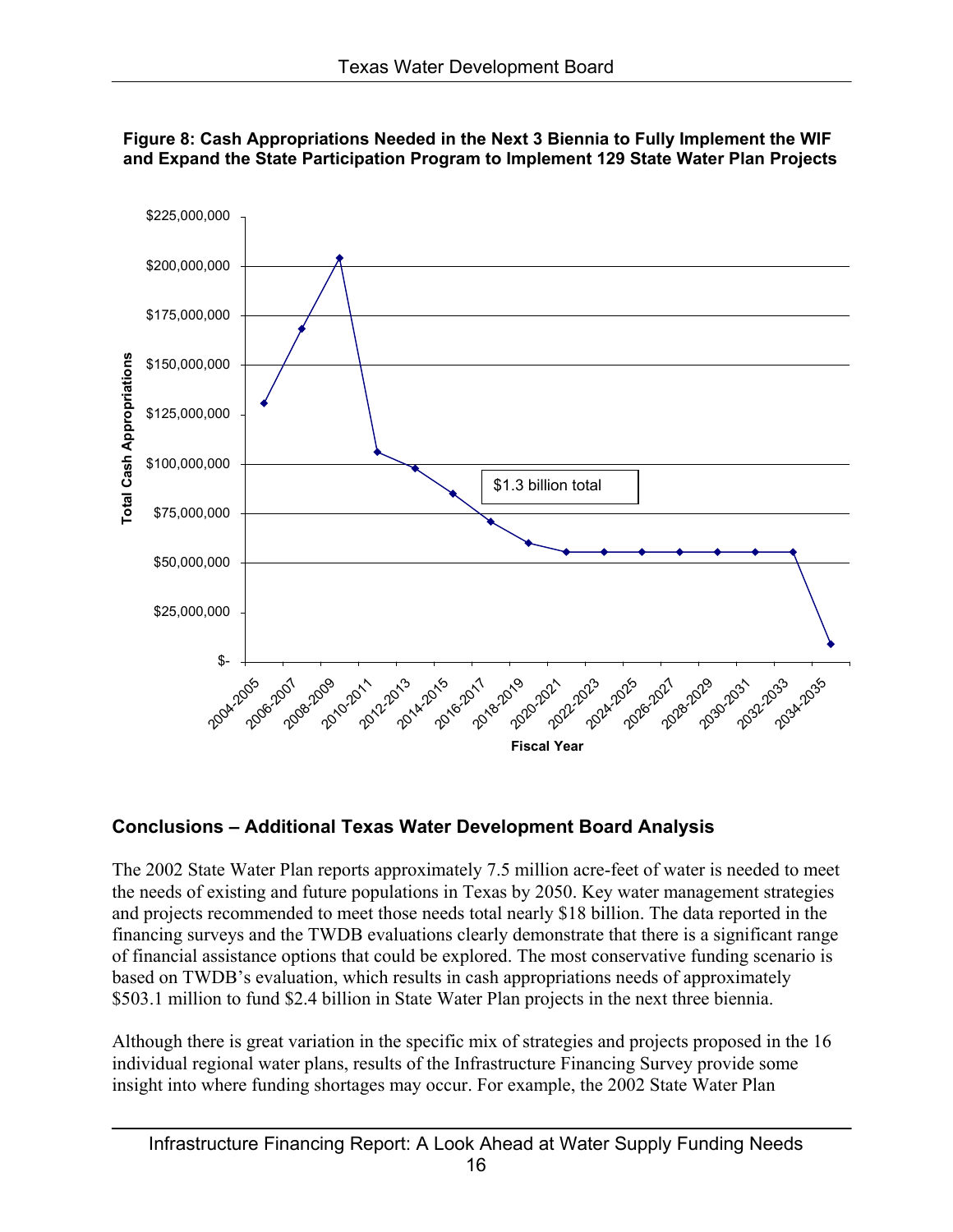



## **Conclusions – Additional Texas Water Development Board Analysis**

The 2002 State Water Plan reports approximately 7.5 million acre-feet of water is needed to meet the needs of existing and future populations in Texas by 2050. Key water management strategies and projects recommended to meet those needs total nearly \$18 billion. The data reported in the financing surveys and the TWDB evaluations clearly demonstrate that there is a significant range of financial assistance options that could be explored. The most conservative funding scenario is based on TWDB's evaluation, which results in cash appropriations needs of approximately \$503.1 million to fund \$2.4 billion in State Water Plan projects in the next three biennia.

Although there is great variation in the specific mix of strategies and projects proposed in the 16 individual regional water plans, results of the Infrastructure Financing Survey provide some insight into where funding shortages may occur. For example, the 2002 State Water Plan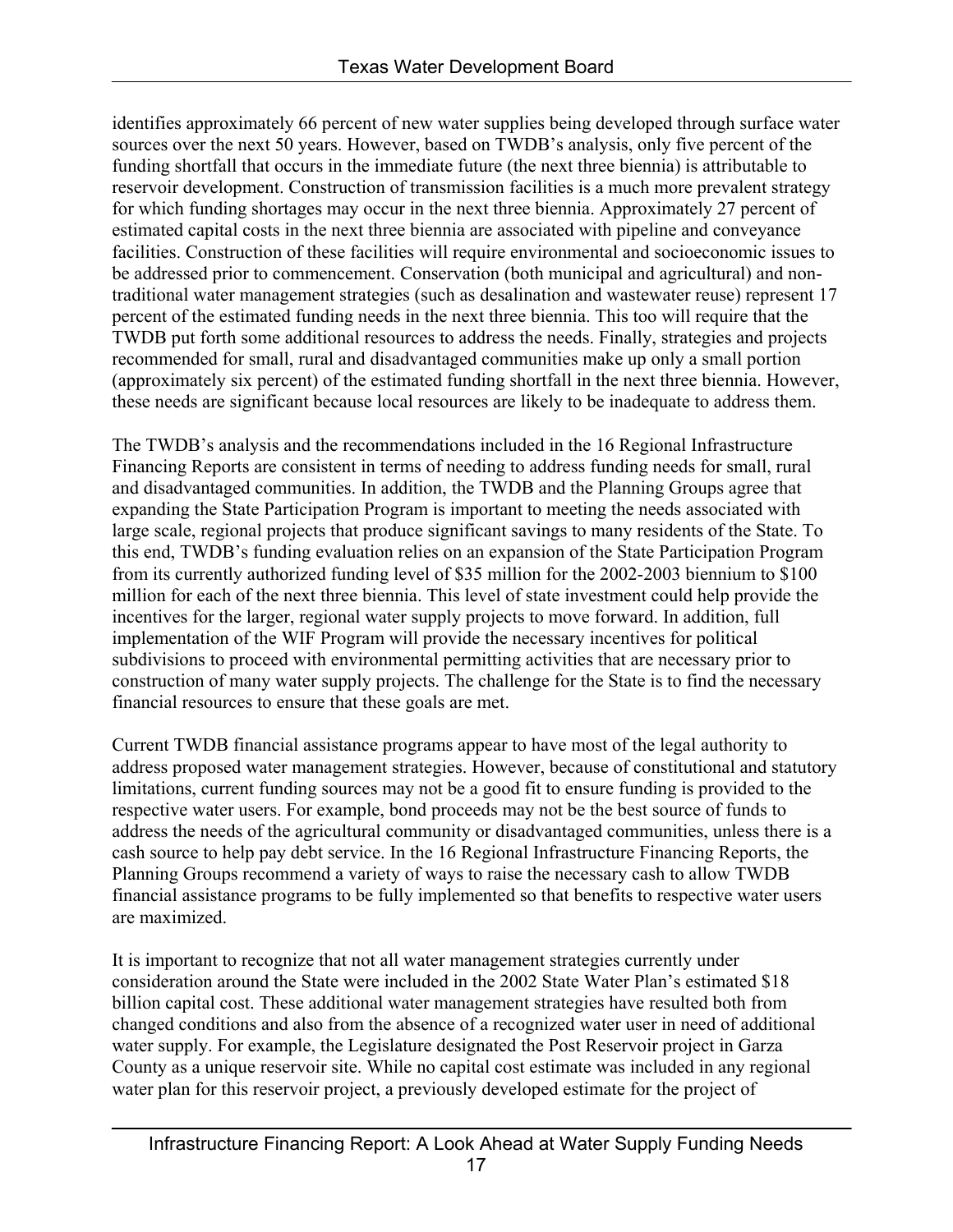identifies approximately 66 percent of new water supplies being developed through surface water sources over the next 50 years. However, based on TWDB's analysis, only five percent of the funding shortfall that occurs in the immediate future (the next three biennia) is attributable to reservoir development. Construction of transmission facilities is a much more prevalent strategy for which funding shortages may occur in the next three biennia. Approximately 27 percent of estimated capital costs in the next three biennia are associated with pipeline and conveyance facilities. Construction of these facilities will require environmental and socioeconomic issues to be addressed prior to commencement. Conservation (both municipal and agricultural) and nontraditional water management strategies (such as desalination and wastewater reuse) represent 17 percent of the estimated funding needs in the next three biennia. This too will require that the TWDB put forth some additional resources to address the needs. Finally, strategies and projects recommended for small, rural and disadvantaged communities make up only a small portion (approximately six percent) of the estimated funding shortfall in the next three biennia. However, these needs are significant because local resources are likely to be inadequate to address them.

The TWDB's analysis and the recommendations included in the 16 Regional Infrastructure Financing Reports are consistent in terms of needing to address funding needs for small, rural and disadvantaged communities. In addition, the TWDB and the Planning Groups agree that expanding the State Participation Program is important to meeting the needs associated with large scale, regional projects that produce significant savings to many residents of the State. To this end, TWDB's funding evaluation relies on an expansion of the State Participation Program from its currently authorized funding level of \$35 million for the 2002-2003 biennium to \$100 million for each of the next three biennia. This level of state investment could help provide the incentives for the larger, regional water supply projects to move forward. In addition, full implementation of the WIF Program will provide the necessary incentives for political subdivisions to proceed with environmental permitting activities that are necessary prior to construction of many water supply projects. The challenge for the State is to find the necessary financial resources to ensure that these goals are met.

Current TWDB financial assistance programs appear to have most of the legal authority to address proposed water management strategies. However, because of constitutional and statutory limitations, current funding sources may not be a good fit to ensure funding is provided to the respective water users. For example, bond proceeds may not be the best source of funds to address the needs of the agricultural community or disadvantaged communities, unless there is a cash source to help pay debt service. In the 16 Regional Infrastructure Financing Reports, the Planning Groups recommend a variety of ways to raise the necessary cash to allow TWDB financial assistance programs to be fully implemented so that benefits to respective water users are maximized.

It is important to recognize that not all water management strategies currently under consideration around the State were included in the 2002 State Water Plan's estimated \$18 billion capital cost. These additional water management strategies have resulted both from changed conditions and also from the absence of a recognized water user in need of additional water supply. For example, the Legislature designated the Post Reservoir project in Garza County as a unique reservoir site. While no capital cost estimate was included in any regional water plan for this reservoir project, a previously developed estimate for the project of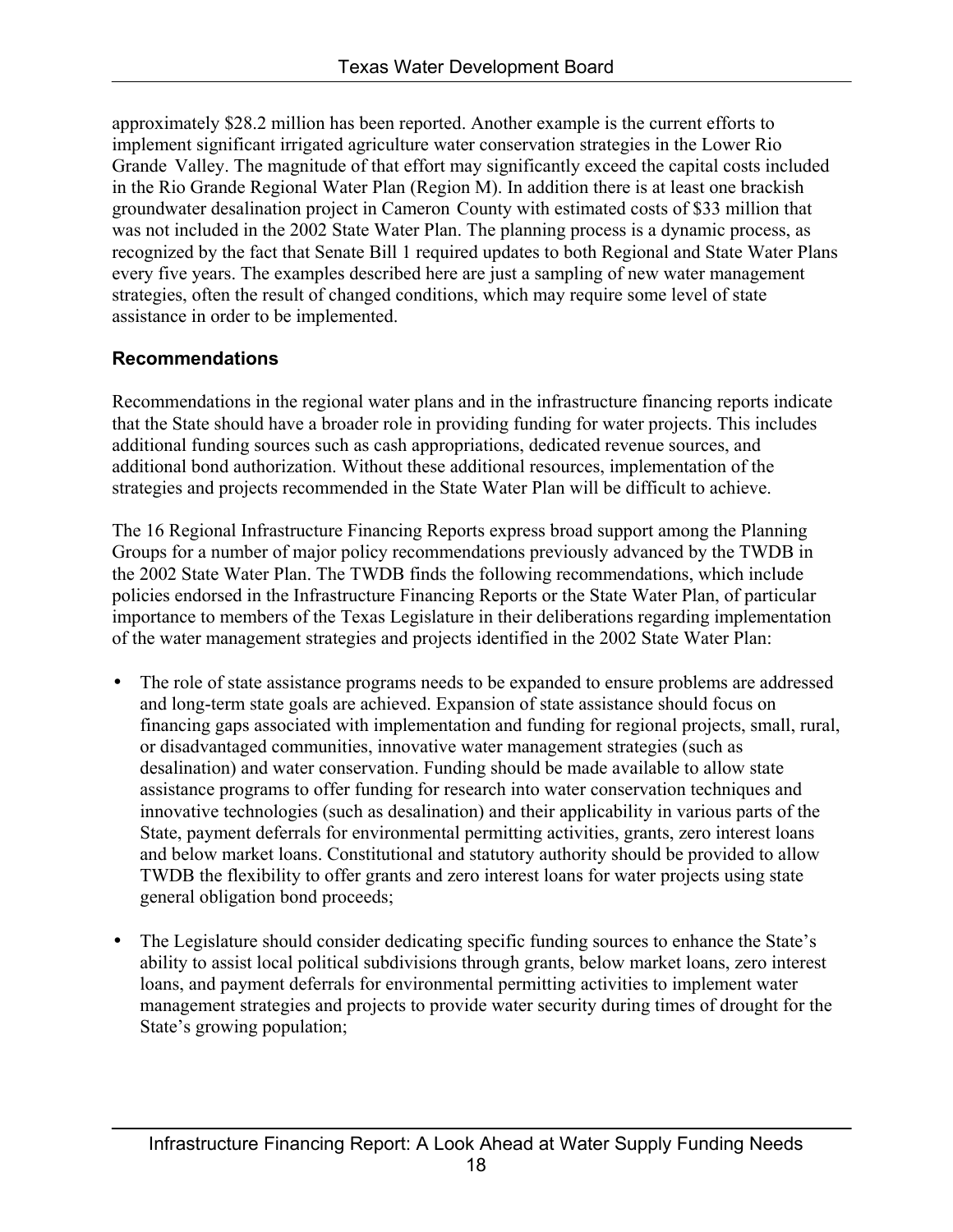approximately \$28.2 million has been reported. Another example is the current efforts to implement significant irrigated agriculture water conservation strategies in the Lower Rio Grande Valley. The magnitude of that effort may significantly exceed the capital costs included in the Rio Grande Regional Water Plan (Region M). In addition there is at least one brackish groundwater desalination project in Cameron County with estimated costs of \$33 million that was not included in the 2002 State Water Plan. The planning process is a dynamic process, as recognized by the fact that Senate Bill 1 required updates to both Regional and State Water Plans every five years. The examples described here are just a sampling of new water management strategies, often the result of changed conditions, which may require some level of state assistance in order to be implemented.

## **Recommendations**

Recommendations in the regional water plans and in the infrastructure financing reports indicate that the State should have a broader role in providing funding for water projects. This includes additional funding sources such as cash appropriations, dedicated revenue sources, and additional bond authorization. Without these additional resources, implementation of the strategies and projects recommended in the State Water Plan will be difficult to achieve.

The 16 Regional Infrastructure Financing Reports express broad support among the Planning Groups for a number of major policy recommendations previously advanced by the TWDB in the 2002 State Water Plan. The TWDB finds the following recommendations, which include policies endorsed in the Infrastructure Financing Reports or the State Water Plan, of particular importance to members of the Texas Legislature in their deliberations regarding implementation of the water management strategies and projects identified in the 2002 State Water Plan:

- The role of state assistance programs needs to be expanded to ensure problems are addressed and long-term state goals are achieved. Expansion of state assistance should focus on financing gaps associated with implementation and funding for regional projects, small, rural, or disadvantaged communities, innovative water management strategies (such as desalination) and water conservation. Funding should be made available to allow state assistance programs to offer funding for research into water conservation techniques and innovative technologies (such as desalination) and their applicability in various parts of the State, payment deferrals for environmental permitting activities, grants, zero interest loans and below market loans. Constitutional and statutory authority should be provided to allow TWDB the flexibility to offer grants and zero interest loans for water projects using state general obligation bond proceeds;
- The Legislature should consider dedicating specific funding sources to enhance the State's ability to assist local political subdivisions through grants, below market loans, zero interest loans, and payment deferrals for environmental permitting activities to implement water management strategies and projects to provide water security during times of drought for the State's growing population;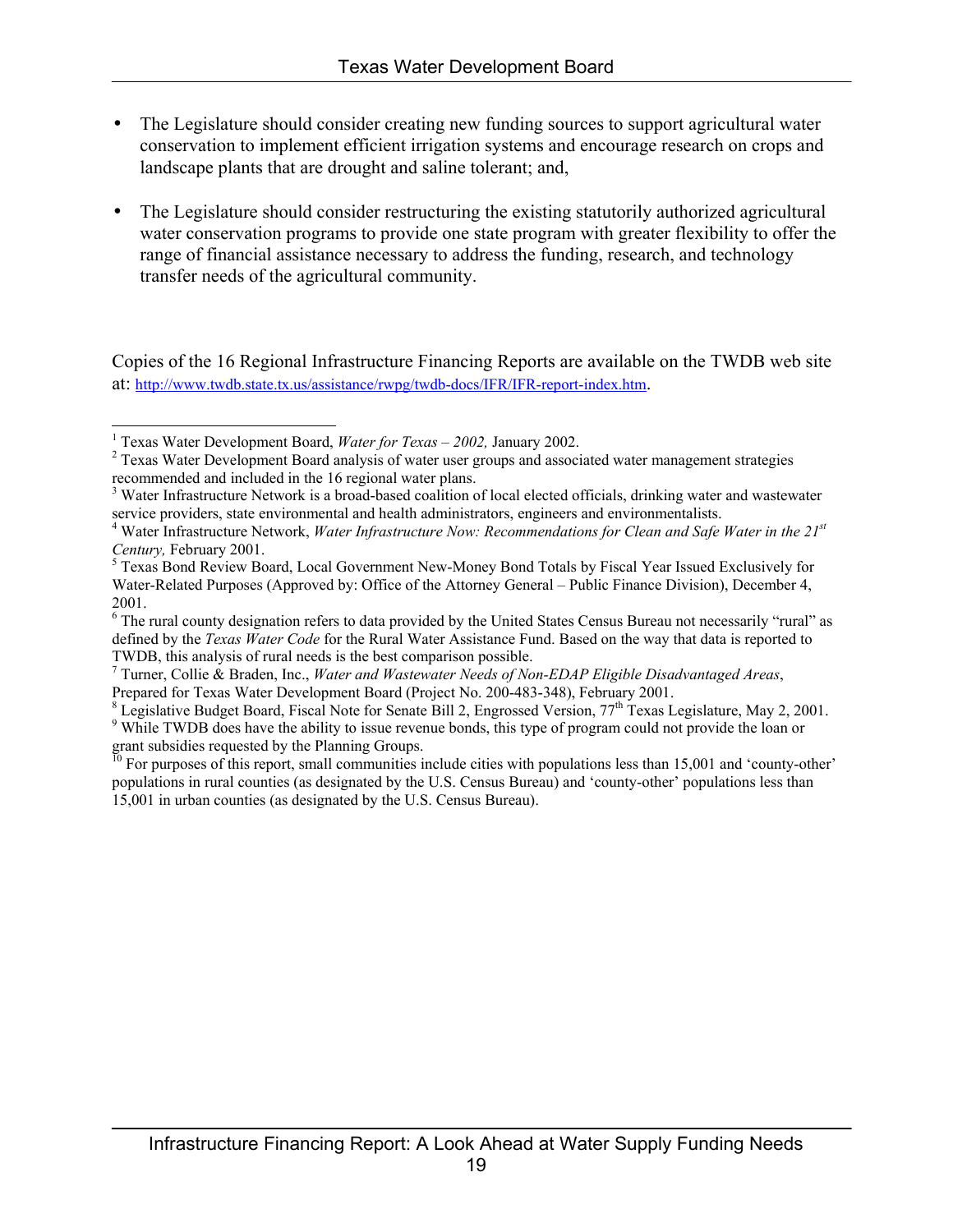- The Legislature should consider creating new funding sources to support agricultural water conservation to implement efficient irrigation systems and encourage research on crops and landscape plants that are drought and saline tolerant; and,
- The Legislature should consider restructuring the existing statutorily authorized agricultural water conservation programs to provide one state program with greater flexibility to offer the range of financial assistance necessary to address the funding, research, and technology transfer needs of the agricultural community.

Copies of the 16 Regional Infrastructure Financing Reports are available on the TWDB web site at: [http://www.twdb.state.tx.us/assistance/rwpg/twdb-docs/IFR/IFR-report-index.htm.](http://www.twdb.state.tx.us/assistance/rwpg/twdb-docs/IFR/IFR-report-index.htm)

<span id="page-27-0"></span><sup>&</sup>lt;sup>1</sup> Texas Water Development Board, *Water for Texas – 2002, January 2002.*<br><sup>2</sup> Toyas Water Development Board anglysis of water user groups and assoc

<span id="page-27-1"></span><sup>&</sup>lt;sup>2</sup> Texas Water Development Board analysis of water user groups and associated water management strategies recommended and included in the 16 regional water plans.

<span id="page-27-2"></span><sup>&</sup>lt;sup>3</sup> Water Infrastructure Network is a broad-based coalition of local elected officials, drinking water and wastewater service providers, state environmental and health administrators, engineers and environmentalists. <sup>4</sup>

<span id="page-27-3"></span>Water Infrastructure Network, *Water Infrastructure Now: Recommendations for Clean and Safe Water in the 21st Century, February 2001.* 

<span id="page-27-4"></span>Texas Bond Review Board, Local Government New-Money Bond Totals by Fiscal Year Issued Exclusively for Water-Related Purposes (Approved by: Office of the Attorney General – Public Finance Division), December 4, 2001.

<span id="page-27-5"></span><sup>&</sup>lt;sup>6</sup> The rural county designation refers to data provided by the United States Census Bureau not necessarily "rural" as defined by the *Texas Water Code* for the Rural Water Assistance Fund. Based on the way that data is reported to TWDB, this analysis of rural needs is the best comparison possible.

<span id="page-27-6"></span><sup>7</sup> Turner, Collie & Braden, Inc., *Water and Wastewater Needs of Non-EDAP Eligible Disadvantaged Areas*, Prepared for Texas Water Development Board (Project No. 200-483-348), February 2001.

<span id="page-27-7"></span><sup>&</sup>lt;sup>8</sup> Legislative Budget Board, Fiscal Note for Senate Bill 2, Engrossed Version,  $77^{\text{th}}$  Texas Legislature, May 2, 2001. <sup>9</sup> While TWDB does have the ability to issue revenue bonds, this type of program could not provide the loan or

<span id="page-27-8"></span>grant subsidies requested by the Planning Groups.

<span id="page-27-9"></span> $\frac{10}{10}$  For purposes of this report, small communities include cities with populations less than 15,001 and 'county-other' populations in rural counties (as designated by the U.S. Census Bureau) and 'county-other' populations less than 15,001 in urban counties (as designated by the U.S. Census Bureau).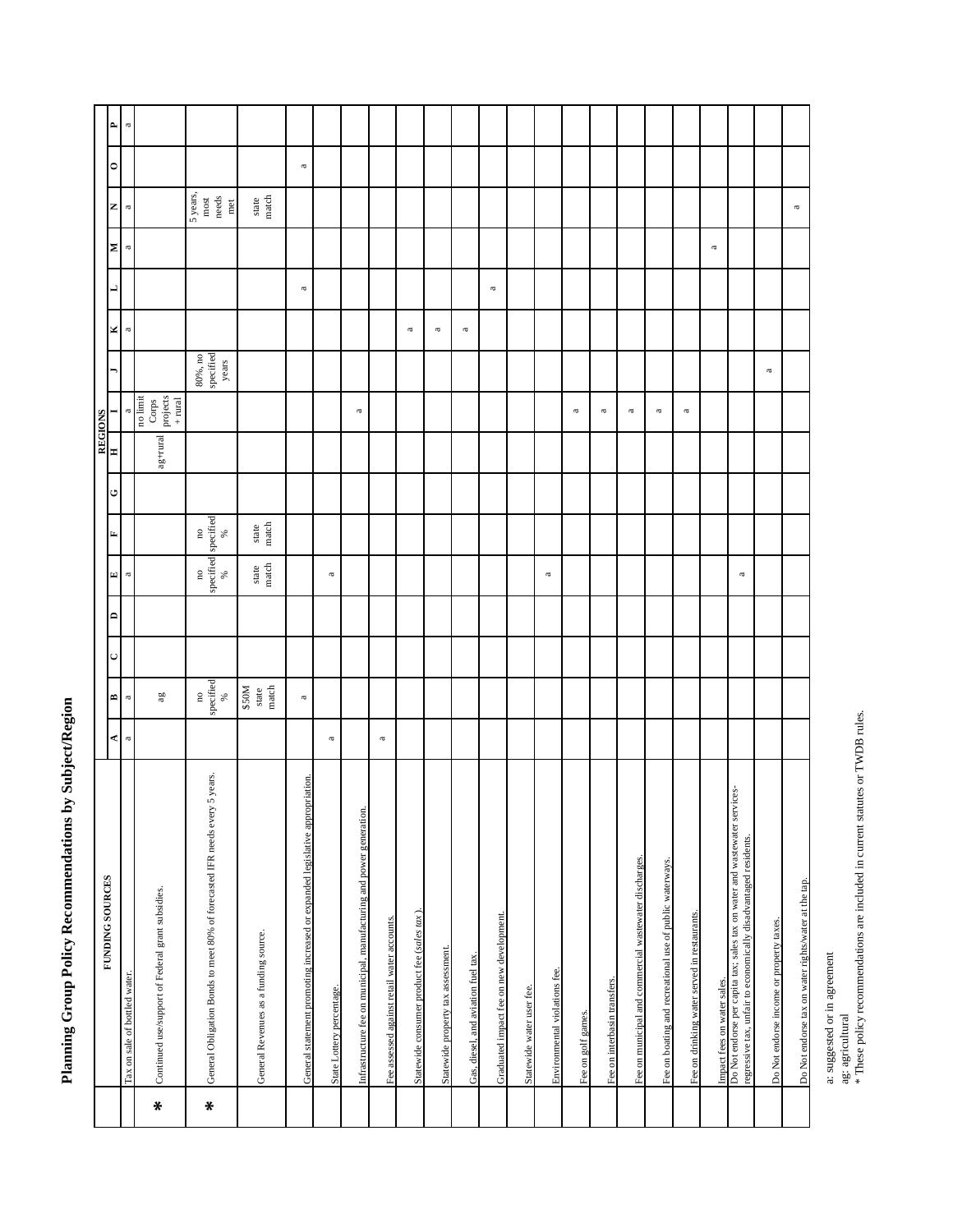| D<br>١ |
|--------|
| ı      |
| j<br>I |
| d      |
|        |
| í<br>l |
| D<br>j |

|        | FUNDING SOURCES                                                                                                                               |                |                                             |   |   |                                 |                                   |   | <b>REGIONS</b> |                                            |                               |                    |                    |   |                                                    |           |                    |
|--------|-----------------------------------------------------------------------------------------------------------------------------------------------|----------------|---------------------------------------------|---|---|---------------------------------|-----------------------------------|---|----------------|--------------------------------------------|-------------------------------|--------------------|--------------------|---|----------------------------------------------------|-----------|--------------------|
|        |                                                                                                                                               | ⋖              | m                                           | ပ | ≏ | 国                               | E,                                | ڻ | H              | ⊣                                          | ⋼                             | ĸ                  | ┙                  | Σ | z                                                  | $\circ$   | $\mathbf{r}$       |
|        | Tax on sale of bottled water.                                                                                                                 | $\approx$      | $\approx$                                   |   |   | $\approx$                       |                                   |   |                | $\mathfrak{a}% _{T}=\mathfrak{a}_{T}$      |                               | $\approx$          |                    | a | a                                                  |           | $\boldsymbol{\pi}$ |
| $\ast$ | Continued use/support of Federal grant subsidies.                                                                                             |                | ag                                          |   |   |                                 |                                   |   | ag+rural       | projects<br>no limit<br>Corps<br>$+$ rural |                               |                    |                    |   |                                                    |           |                    |
| ∗      | 5 years.<br>General Obligation Bonds to meet 80% of forecasted IFR needs every                                                                |                | specified<br>$\mathbf{n}\mathbf{o}$<br>$\%$ |   |   | specified<br>$\rm ^{o}$<br>$\%$ | specified<br>$\mathbf{e}$<br>$\%$ |   |                |                                            | specified<br>80%, no<br>years |                    |                    |   | 5 years,<br>needs<br>$_{\rm most}$<br>$_{\rm met}$ |           |                    |
|        | General Revenues as a funding source.                                                                                                         |                | \$50M<br>$_{\rm match}$<br>state            |   |   | state<br>match                  | state<br>match                    |   |                |                                            |                               |                    |                    |   | match<br>state                                     |           |                    |
|        | General statement promoting increased or expanded legislative appropriation.                                                                  |                | $\approx$                                   |   |   |                                 |                                   |   |                |                                            |                               |                    | $\boldsymbol{\pi}$ |   |                                                    | $\approx$ |                    |
|        | State Lottery percentage.                                                                                                                     | $\mathfrak{a}$ |                                             |   |   | $\mathfrak{a}$                  |                                   |   |                |                                            |                               |                    |                    |   |                                                    |           |                    |
|        | Infrastructure fee on municipal, manufacturing and power generation.                                                                          |                |                                             |   |   |                                 |                                   |   |                | $\boldsymbol{\pi}$                         |                               |                    |                    |   |                                                    |           |                    |
|        | Fee assessed against retail water accounts.                                                                                                   | $\mathfrak{a}$ |                                             |   |   |                                 |                                   |   |                |                                            |                               |                    |                    |   |                                                    |           |                    |
|        | Statewide consumer product fee (sales tax).                                                                                                   |                |                                             |   |   |                                 |                                   |   |                |                                            |                               | $\boldsymbol{\pi}$ |                    |   |                                                    |           |                    |
|        | Statewide property tax assessment.                                                                                                            |                |                                             |   |   |                                 |                                   |   |                |                                            |                               | $\boldsymbol{\pi}$ |                    |   |                                                    |           |                    |
|        | Gas, diesel, and aviation fuel tax.                                                                                                           |                |                                             |   |   |                                 |                                   |   |                |                                            |                               | $\boldsymbol{\pi}$ |                    |   |                                                    |           |                    |
|        | Graduated impact fee on new development.                                                                                                      |                |                                             |   |   |                                 |                                   |   |                |                                            |                               |                    | $\boldsymbol{\pi}$ |   |                                                    |           |                    |
|        | Statewide water user fee.                                                                                                                     |                |                                             |   |   |                                 |                                   |   |                |                                            |                               |                    |                    |   |                                                    |           |                    |
|        | Environmental violations fee.                                                                                                                 |                |                                             |   |   | $\boldsymbol{\pi}$              |                                   |   |                |                                            |                               |                    |                    |   |                                                    |           |                    |
|        | Fee on golf games.                                                                                                                            |                |                                             |   |   |                                 |                                   |   |                | $\boldsymbol{\pi}$                         |                               |                    |                    |   |                                                    |           |                    |
|        | Fee on interbasin transfers.                                                                                                                  |                |                                             |   |   |                                 |                                   |   |                | $\boldsymbol{\pi}$                         |                               |                    |                    |   |                                                    |           |                    |
|        | Fee on municipal and commercial wastewater discharges.                                                                                        |                |                                             |   |   |                                 |                                   |   |                | $\boldsymbol{\pi}$                         |                               |                    |                    |   |                                                    |           |                    |
|        | Fee on boating and recreational use of public waterways.                                                                                      |                |                                             |   |   |                                 |                                   |   |                | $\boldsymbol{\pi}$                         |                               |                    |                    |   |                                                    |           |                    |
|        | Fee on drinking water served in restaurants.                                                                                                  |                |                                             |   |   |                                 |                                   |   |                | $\boldsymbol{\pi}$                         |                               |                    |                    |   |                                                    |           |                    |
|        | Impact fees on water sales.                                                                                                                   |                |                                             |   |   |                                 |                                   |   |                |                                            |                               |                    |                    | a |                                                    |           |                    |
|        | Do Not endorse per capita tax; sales tax on water and wastewater services-<br>regressive tax, unfair to economically disadvantaged residents. |                |                                             |   |   | $\varpi$                        |                                   |   |                |                                            |                               |                    |                    |   |                                                    |           |                    |
|        | Do Not endorse income or property taxes.                                                                                                      |                |                                             |   |   |                                 |                                   |   |                |                                            | a                             |                    |                    |   |                                                    |           |                    |
|        | Do Not endorse tax on water rights/water at the tap.                                                                                          |                |                                             |   |   |                                 |                                   |   |                |                                            |                               |                    |                    |   | a                                                  |           |                    |

a: suggested or in agreement

ag: agricultural

a: suggested or in agreement<br>ag: agricultural<br>\* These policy recommendations are included in current statutes or TWDB rules. \* These policy recommendations are included in current statutes or TWDB rules.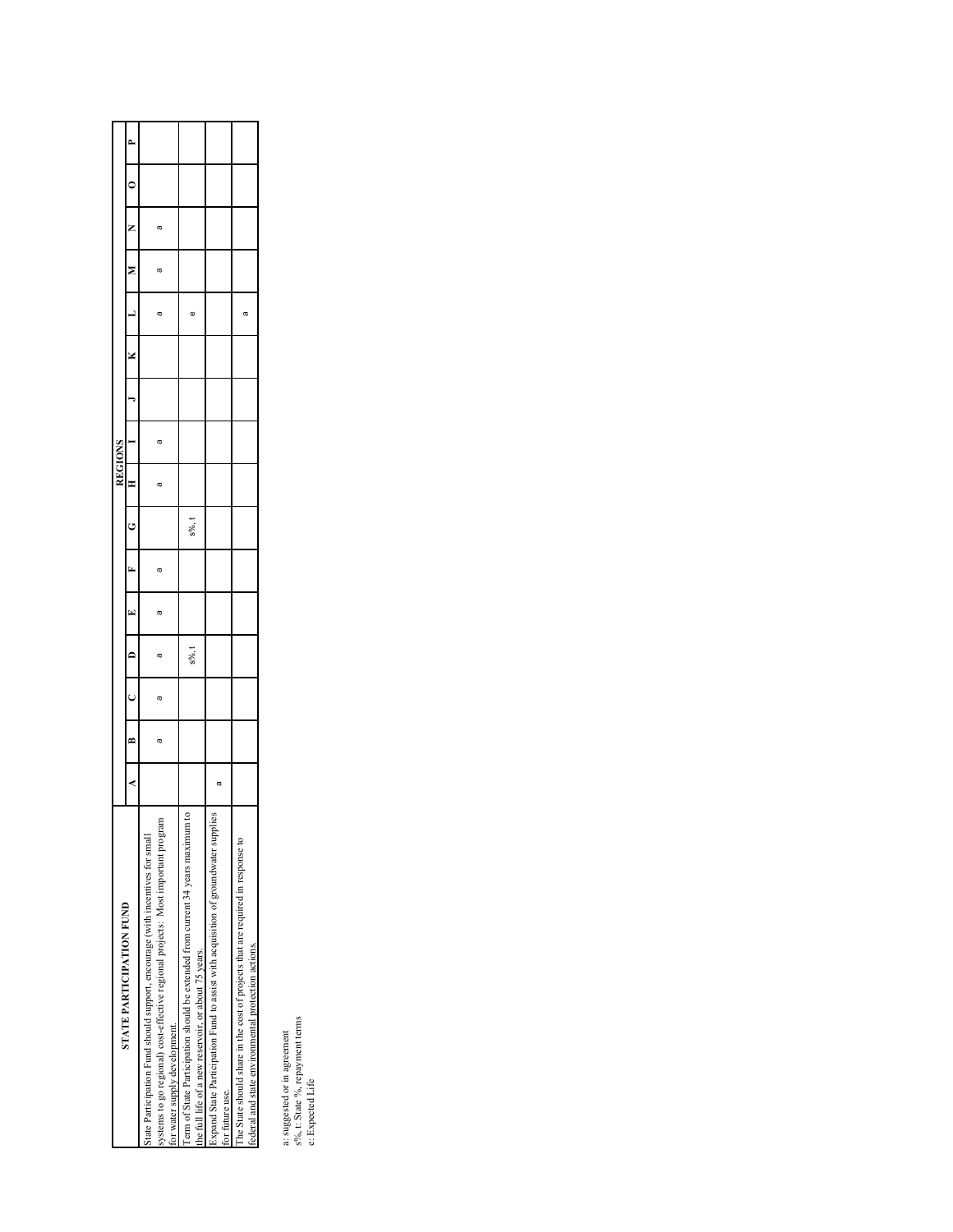| <b>STATE PARTICIPATION FUND</b>                                                    |  |           |  |           |  |  |  |   |  |
|------------------------------------------------------------------------------------|--|-----------|--|-----------|--|--|--|---|--|
|                                                                                    |  |           |  |           |  |  |  |   |  |
| State Participation Fund should support, encourage (with incentives for small      |  |           |  |           |  |  |  |   |  |
| systems to go regional) cost-effective regional projects: Most important program   |  | ω         |  |           |  |  |  | ω |  |
| for water supply development.                                                      |  |           |  |           |  |  |  |   |  |
| erm of State Participation should be extended from current 34 years maximum to     |  | $5\%$ , 1 |  | $5\%$ , t |  |  |  |   |  |
| the full life of a new reservoir, or about 75 years.                               |  |           |  |           |  |  |  |   |  |
| Expand State Participation Fund to assist with acquisition of groundwater supplies |  |           |  |           |  |  |  |   |  |
| for future use.                                                                    |  |           |  |           |  |  |  |   |  |
| The State should share in the cost of projects that are required in response to    |  |           |  |           |  |  |  |   |  |
| federal and state environmental protection actions.                                |  |           |  |           |  |  |  |   |  |
|                                                                                    |  |           |  |           |  |  |  |   |  |

a: suggested or in agreement<br> $s\%$ , t: State  $\%$ , repayment terms<br>e: Expected Life s%, t: State %, repayment terms a: suggested or in agreement

e: Expected Life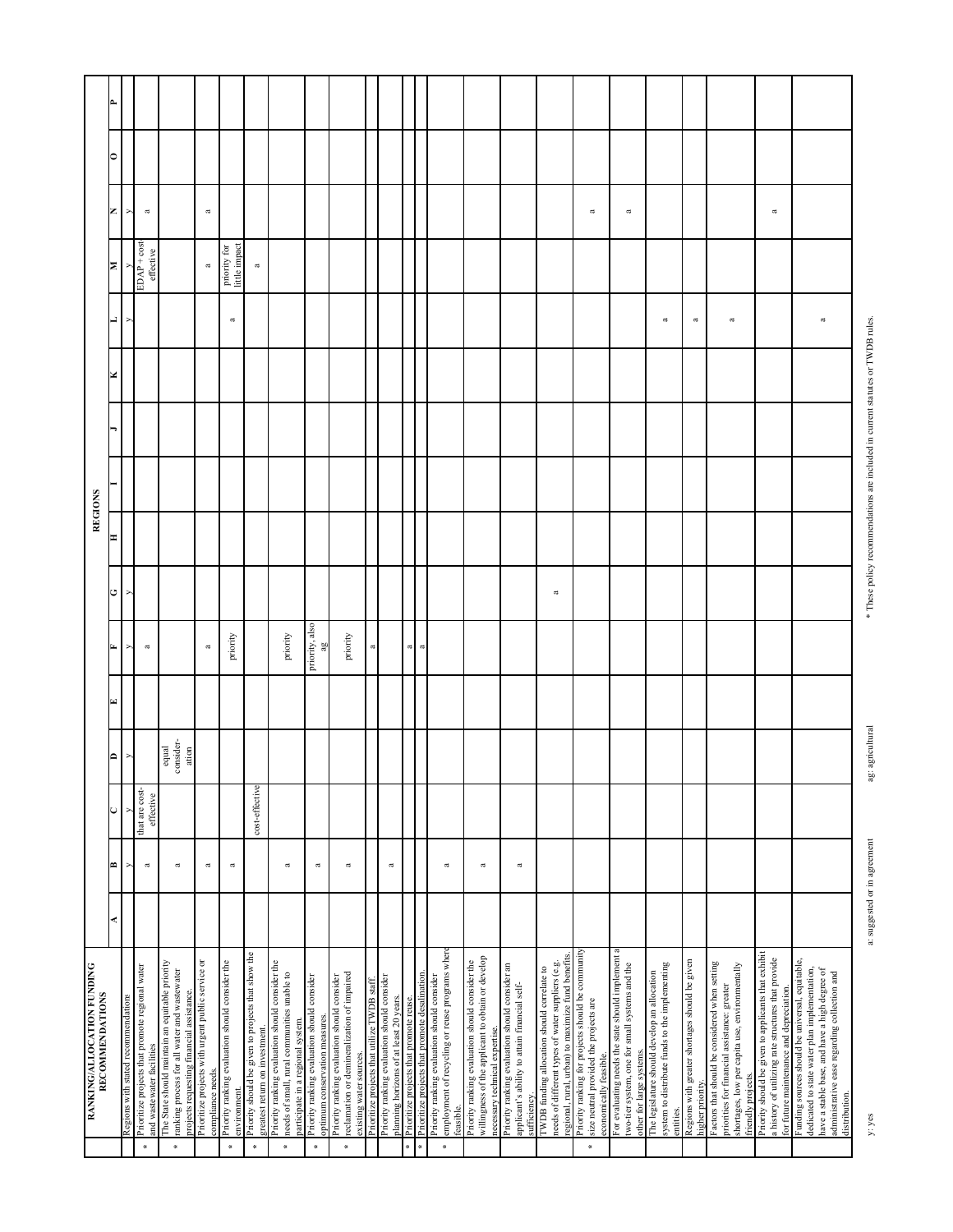|                     | RANKING/ALLOCATION FUNDING<br>RECOMMENDATIONS                                                                                                                                                                      |                              |                          |                             |                             |                     |                                                                                | <b>REGIONS</b> |  |                          |                               |                    |   |  |
|---------------------|--------------------------------------------------------------------------------------------------------------------------------------------------------------------------------------------------------------------|------------------------------|--------------------------|-----------------------------|-----------------------------|---------------------|--------------------------------------------------------------------------------|----------------|--|--------------------------|-------------------------------|--------------------|---|--|
|                     |                                                                                                                                                                                                                    | ⋖                            | m                        |                             | ≏                           |                     | ڻ                                                                              |                |  |                          | Z                             |                    | 0 |  |
|                     | Regions with stated recommendations                                                                                                                                                                                |                              | ×,                       | <sup>&gt;</sup>             | $\geq$                      | $\geq$              | ⋗                                                                              |                |  | Ņ                        | $\geq$                        | ×,                 |   |  |
| $\cdot$             | Prioritize projects that promote regional water<br>and wastewater facilities                                                                                                                                       |                              | $\varpi$                 | that are cost-<br>effective |                             | $\boldsymbol{\pi}$  |                                                                                |                |  |                          | $EDAP + cost$<br>effective    | $\boldsymbol{\pi}$ |   |  |
| $\ast$              | The State should maintain an equitable priority<br>ranking process for all water and wastewater<br>projects requesting financial assistance.                                                                       |                              | $\boldsymbol{\varpi}$    |                             | consider-<br>equal<br>ation |                     |                                                                                |                |  |                          |                               |                    |   |  |
|                     | Prioritize projects with urgent public service or<br>compliance needs.                                                                                                                                             |                              | $\varpi$                 |                             |                             | $\varpi$            |                                                                                |                |  |                          | $\varpi$                      | $\varpi$           |   |  |
| $\boldsymbol{\ast}$ | Priority ranking evaluation should consider the<br>environment                                                                                                                                                     |                              | $\overline{\phantom{a}}$ |                             |                             | priority            |                                                                                |                |  | a                        | little impact<br>priority for |                    |   |  |
| $\ast$              | Priority should be given to projects that show the<br>greatest return on investment                                                                                                                                |                              |                          | cost-effective              |                             |                     |                                                                                |                |  |                          | $\approx$                     |                    |   |  |
| $\ast$              | Priority ranking evaluation should consider the<br>needs of small, rural communities unable to<br>participate in a regional system                                                                                 |                              | $\overline{\phantom{a}}$ |                             |                             | priority            |                                                                                |                |  |                          |                               |                    |   |  |
| $\boldsymbol{\ast}$ | Priority ranking evaluation should consider<br>optimum conservation measures                                                                                                                                       |                              | $\varpi$                 |                             |                             | priority, also<br>æ |                                                                                |                |  |                          |                               |                    |   |  |
| $\boldsymbol{\ast}$ | reclamation or demineralization of impaired<br>Priority ranking evaluation should consider<br>existing water sources.                                                                                              |                              | $\overline{\phantom{a}}$ |                             |                             | priority            |                                                                                |                |  |                          |                               |                    |   |  |
|                     | Prioritize projects that utilize TWDB staff                                                                                                                                                                        |                              |                          |                             |                             |                     |                                                                                |                |  |                          |                               |                    |   |  |
|                     | Priority ranking evaluation should consider<br>planning horizons of at least 20 years.                                                                                                                             |                              | $\boldsymbol{\varpi}$    |                             |                             |                     |                                                                                |                |  |                          |                               |                    |   |  |
| ģ,                  | Prioritize projects that promote reuse.                                                                                                                                                                            |                              |                          |                             |                             | $\boldsymbol{\pi}$  |                                                                                |                |  |                          |                               |                    |   |  |
|                     | Prioritize projects that promote desalination                                                                                                                                                                      |                              |                          |                             |                             | a                   |                                                                                |                |  |                          |                               |                    |   |  |
| ĸ                   | Priority ranking evaluation should consider<br>employment of recycling or reuse programs where<br>feasible                                                                                                         |                              | $\varpi$                 |                             |                             |                     |                                                                                |                |  |                          |                               |                    |   |  |
|                     | willingness of the applicant to obtain or develop<br>Priority ranking evaluation should consider the<br>necessary technical expertise.                                                                             |                              | $\varpi$                 |                             |                             |                     |                                                                                |                |  |                          |                               |                    |   |  |
|                     | Priority ranking evaluation should consider an<br>applicant's ability to attain financial self-<br>sufficiency                                                                                                     |                              | $\overline{\phantom{a}}$ |                             |                             |                     |                                                                                |                |  |                          |                               |                    |   |  |
|                     | regional, rural, urban) to maximize fund benefits.<br>needs of different types of water suppliers (e.g.<br>IWDB funding allocation should correlate to                                                             |                              |                          |                             |                             |                     | $\mathfrak{a}$                                                                 |                |  |                          |                               |                    |   |  |
| $\boldsymbol{\ast}$ | Priority ranking for projects should be community<br>size neutral provided the projects are<br>economically feasible.                                                                                              |                              |                          |                             |                             |                     |                                                                                |                |  |                          |                               | $\approx$          |   |  |
|                     | For evaluating needs the state should implement a<br>two-tier system, one for small systems and the<br>other for large systems.                                                                                    |                              |                          |                             |                             |                     |                                                                                |                |  |                          |                               | ß                  |   |  |
|                     | The legislature should develop an allocation<br>system to distribute funds to the implementing<br>entities                                                                                                         |                              |                          |                             |                             |                     |                                                                                |                |  | $\approx$                |                               |                    |   |  |
|                     | Regions with greater shortages should be given<br>higher priori                                                                                                                                                    |                              |                          |                             |                             |                     |                                                                                |                |  | $\overline{\phantom{a}}$ |                               |                    |   |  |
|                     | Factors that should be considered when setting<br>shortages, low per capita use, environmentally<br>priorities for financial assistance: greater<br>friendly projects.                                             |                              |                          |                             |                             |                     |                                                                                |                |  | a                        |                               |                    |   |  |
|                     | Priority should be given to applicants that exhibit<br>a history of utilizing rate structures that provide<br>for future maintenance and depreciation.                                                             |                              |                          |                             |                             |                     |                                                                                |                |  |                          |                               | $\boldsymbol{\pi}$ |   |  |
|                     | Funding sources should be universal, equitable,<br>dedicated to state water plan implementation,<br>have a stable base, and have a high degree of<br>administrative ease regarding collection and<br>distribution. |                              |                          |                             |                             |                     |                                                                                |                |  | $\mathfrak{a}$           |                               |                    |   |  |
|                     | y: yes                                                                                                                                                                                                             | a: suggested or in agreement |                          |                             | agricultural<br>ä           |                     | * These policy recommendations are included in current statutes or TWDB rules. |                |  |                          |                               |                    |   |  |